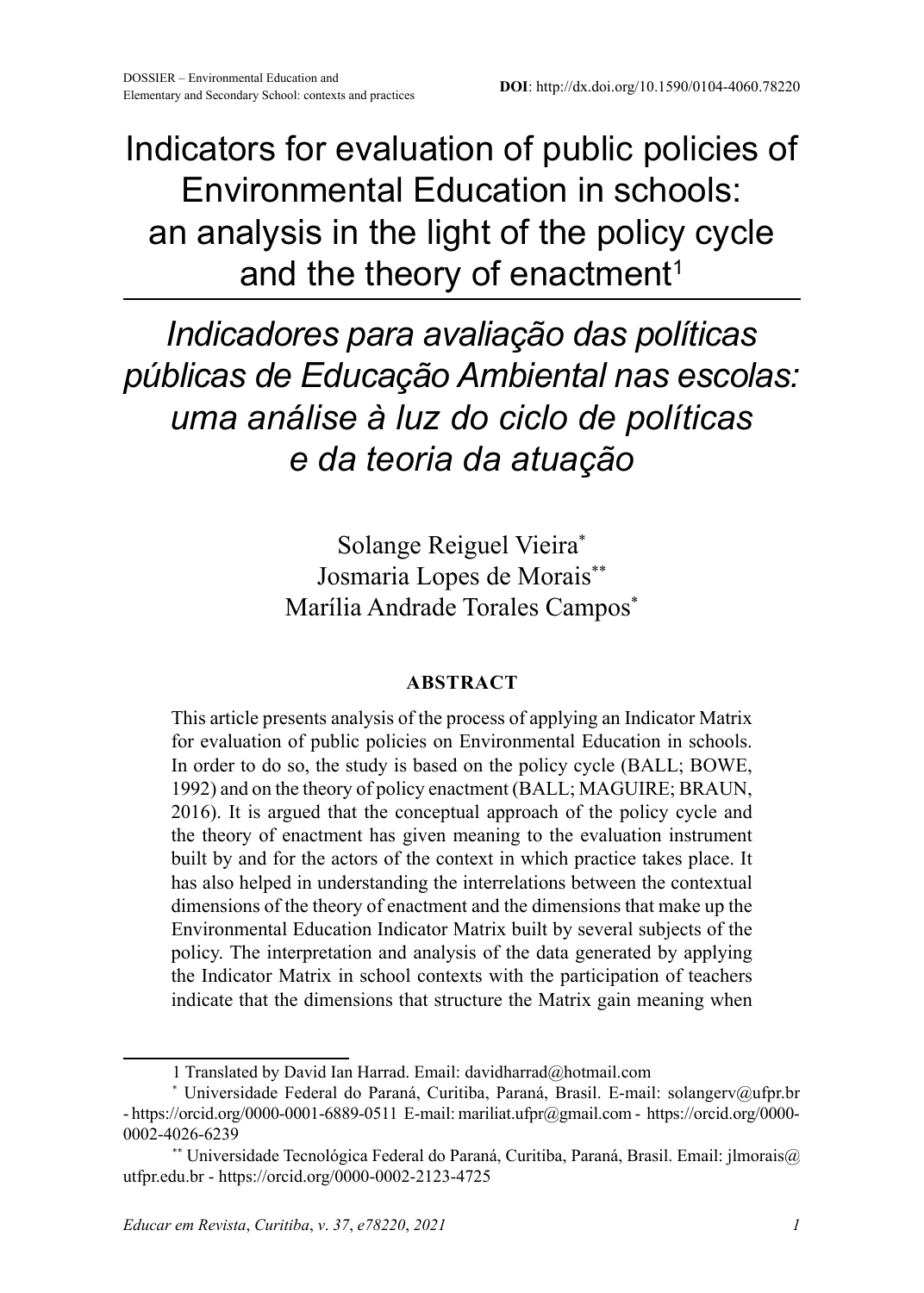Indicators for evaluation of public policies of Environmental Education in schools: an analysis in the light of the policy cycle and the theory of enactment<sup>1</sup>

*Indicadores para avaliação das políticas públicas de Educação Ambiental nas escolas: uma análise à luz do ciclo de políticas e da teoria da atuação* 

> Solange Reiguel Vieira\* Josmaria Lopes de Morais\*\* Marília Andrade Torales Campos\*

#### **ABSTRACT**

This article presents analysis of the process of applying an Indicator Matrix for evaluation of public policies on Environmental Education in schools. In order to do so, the study is based on the policy cycle (BALL; BOWE, 1992) and on the theory of policy enactment (BALL; MAGUIRE; BRAUN, 2016). It is argued that the conceptual approach of the policy cycle and the theory of enactment has given meaning to the evaluation instrument built by and for the actors of the context in which practice takes place. It has also helped in understanding the interrelations between the contextual dimensions of the theory of enactment and the dimensions that make up the Environmental Education Indicator Matrix built by several subjects of the policy. The interpretation and analysis of the data generated by applying the Indicator Matrix in school contexts with the participation of teachers indicate that the dimensions that structure the Matrix gain meaning when

<sup>1</sup> Translated by David Ian Harrad. Email: davidharrad@hotmail.com

<sup>\*</sup> Universidade Federal do Paraná, Curitiba, Paraná, Brasil. E-mail: solangerv@ufpr.br - https://orcid.org/0000-0001-6889-0511 E-mail: mariliat.ufpr@gmail.com - https://orcid.org/0000- 0002-4026-6239

<sup>\*\*</sup> Universidade Tecnológica Federal do Paraná, Curitiba, Paraná, Brasil. Email: jlmorais@ utfpr.edu.br - https://orcid.org/0000-0002-2123-4725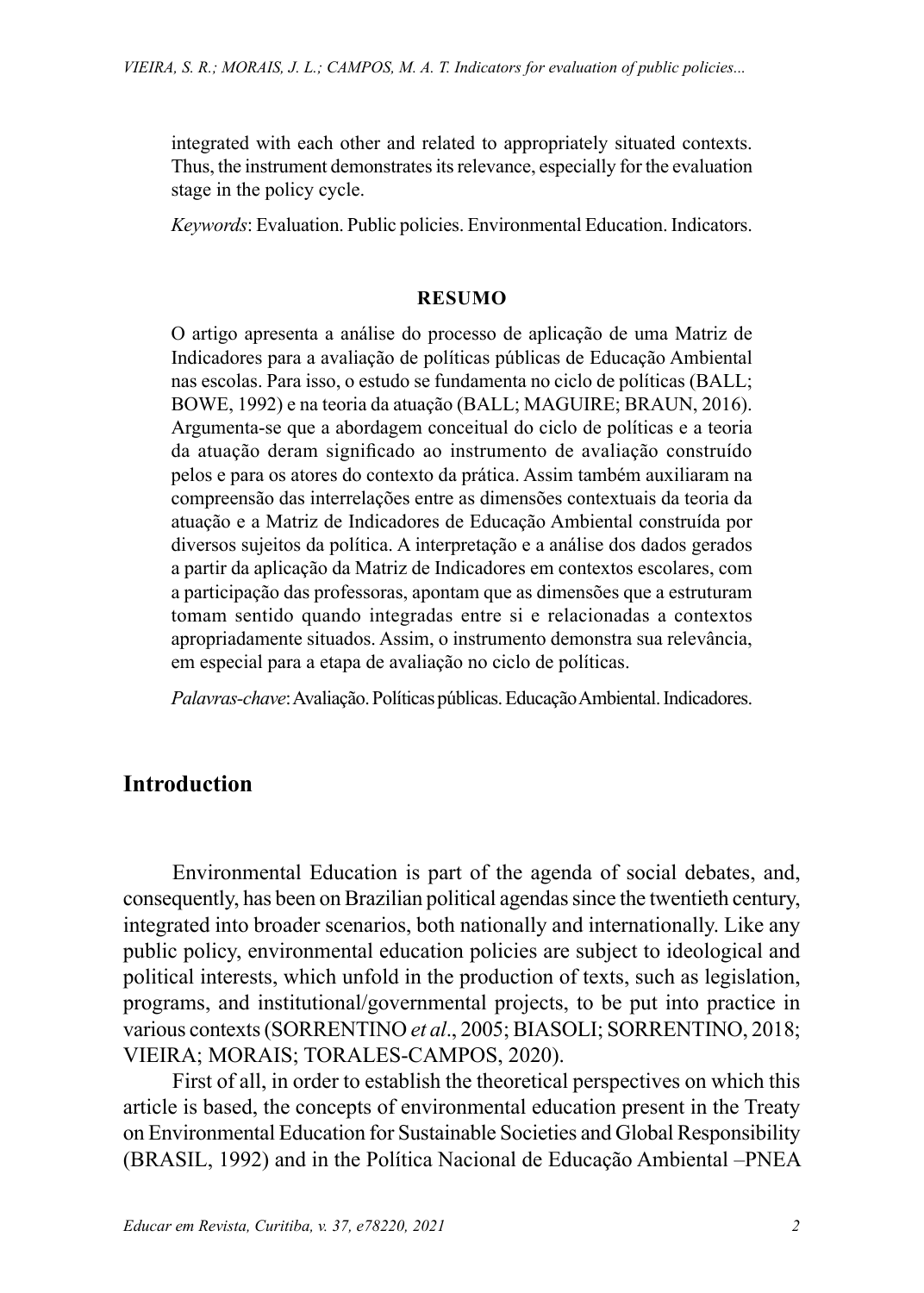integrated with each other and related to appropriately situated contexts. Thus, the instrument demonstrates its relevance, especially for the evaluation stage in the policy cycle.

*Keywords*: Evaluation. Public policies. Environmental Education. Indicators.

#### **RESUMO**

O artigo apresenta a análise do processo de aplicação de uma Matriz de Indicadores para a avaliação de políticas públicas de Educação Ambiental nas escolas. Para isso, o estudo se fundamenta no ciclo de políticas (BALL; BOWE, 1992) e na teoria da atuação (BALL; MAGUIRE; BRAUN, 2016). Argumenta-se que a abordagem conceitual do ciclo de políticas e a teoria da atuação deram significado ao instrumento de avaliação construído pelos e para os atores do contexto da prática. Assim também auxiliaram na compreensão das interrelações entre as dimensões contextuais da teoria da atuação e a Matriz de Indicadores de Educação Ambiental construída por diversos sujeitos da política. A interpretação e a análise dos dados gerados a partir da aplicação da Matriz de Indicadores em contextos escolares, com a participação das professoras, apontam que as dimensões que a estruturam tomam sentido quando integradas entre si e relacionadas a contextos apropriadamente situados. Assim, o instrumento demonstra sua relevância, em especial para a etapa de avaliação no ciclo de políticas.

*Palavras-chave*: Avaliação. Políticas públicas. Educação Ambiental. Indicadores.

# **Introduction**

Environmental Education is part of the agenda of social debates, and, consequently, has been on Brazilian political agendas since the twentieth century, integrated into broader scenarios, both nationally and internationally. Like any public policy, environmental education policies are subject to ideological and political interests, which unfold in the production of texts, such as legislation, programs, and institutional/governmental projects, to be put into practice in various contexts (SORRENTINO *et al*., 2005; BIASOLI; SORRENTINO, 2018; VIEIRA; MORAIS; TORALES-CAMPOS, 2020).

First of all, in order to establish the theoretical perspectives on which this article is based, the concepts of environmental education present in the Treaty on Environmental Education for Sustainable Societies and Global Responsibility (BRASIL, 1992) and in the Política Nacional de Educação Ambiental –PNEA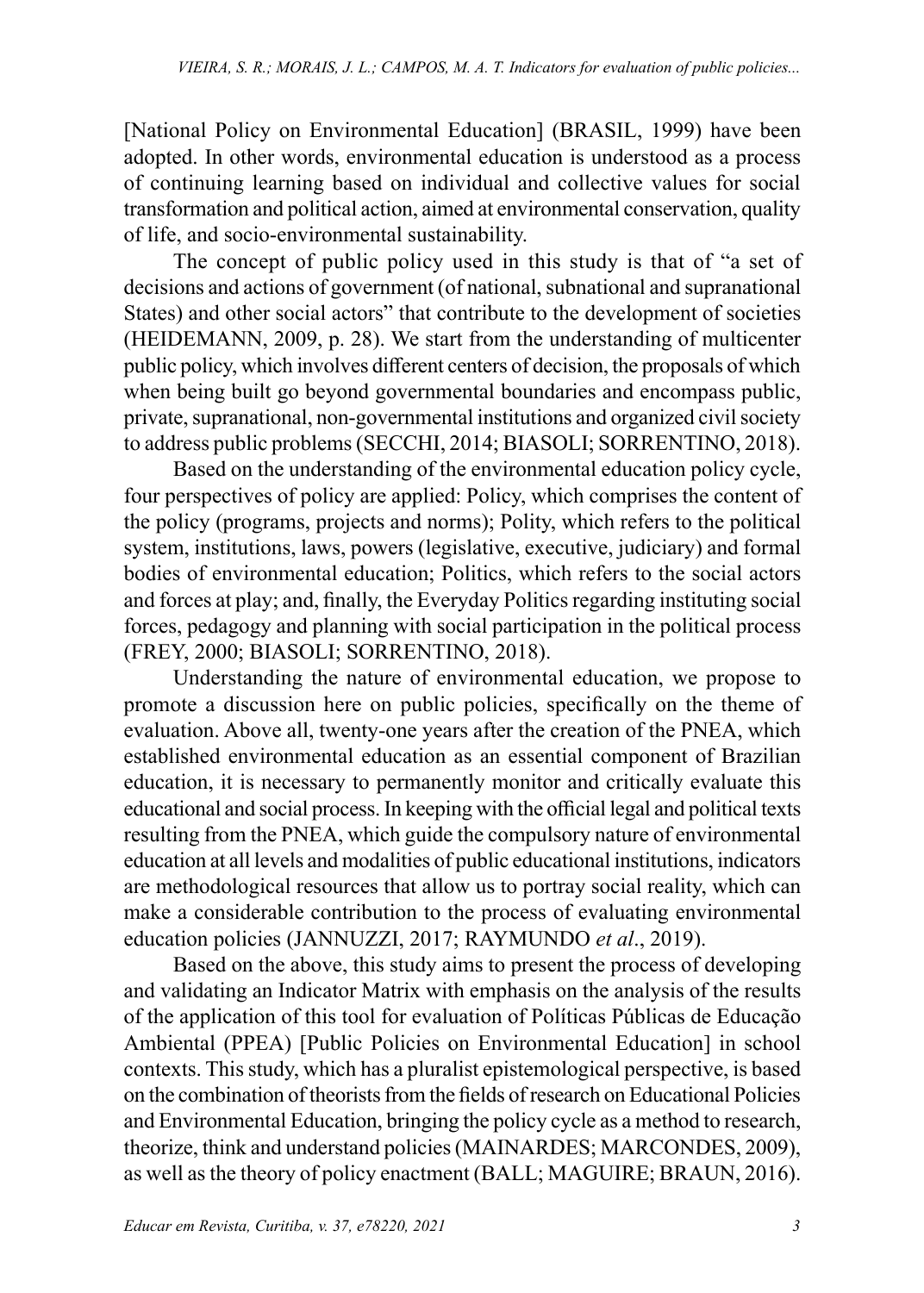[National Policy on Environmental Education] (BRASIL, 1999) have been adopted. In other words, environmental education is understood as a process of continuing learning based on individual and collective values for social transformation and political action, aimed at environmental conservation, quality of life, and socio-environmental sustainability.

The concept of public policy used in this study is that of "a set of decisions and actions of government (of national, subnational and supranational States) and other social actors" that contribute to the development of societies (HEIDEMANN, 2009, p. 28). We start from the understanding of multicenter public policy, which involves different centers of decision, the proposals of which when being built go beyond governmental boundaries and encompass public, private, supranational, non-governmental institutions and organized civil society to address public problems (SECCHI, 2014; BIASOLI; SORRENTINO, 2018).

Based on the understanding of the environmental education policy cycle, four perspectives of policy are applied: Policy, which comprises the content of the policy (programs, projects and norms); Polity, which refers to the political system, institutions, laws, powers (legislative, executive, judiciary) and formal bodies of environmental education; Politics, which refers to the social actors and forces at play; and, finally, the Everyday Politics regarding instituting social forces, pedagogy and planning with social participation in the political process (FREY, 2000; BIASOLI; SORRENTINO, 2018).

Understanding the nature of environmental education, we propose to promote a discussion here on public policies, specifically on the theme of evaluation. Above all, twenty-one years after the creation of the PNEA, which established environmental education as an essential component of Brazilian education, it is necessary to permanently monitor and critically evaluate this educational and social process. In keeping with the official legal and political texts resulting from the PNEA, which guide the compulsory nature of environmental education at all levels and modalities of public educational institutions, indicators are methodological resources that allow us to portray social reality, which can make a considerable contribution to the process of evaluating environmental education policies (JANNUZZI, 2017; RAYMUNDO *et al*., 2019).

Based on the above, this study aims to present the process of developing and validating an Indicator Matrix with emphasis on the analysis of the results of the application of this tool for evaluation of Políticas Públicas de Educação Ambiental (PPEA) [Public Policies on Environmental Education] in school contexts. This study, which has a pluralist epistemological perspective, is based on the combination of theorists from the fields of research on Educational Policies and Environmental Education, bringing the policy cycle as a method to research, theorize, think and understand policies (MAINARDES; MARCONDES, 2009), as well as the theory of policy enactment (BALL; MAGUIRE; BRAUN, 2016).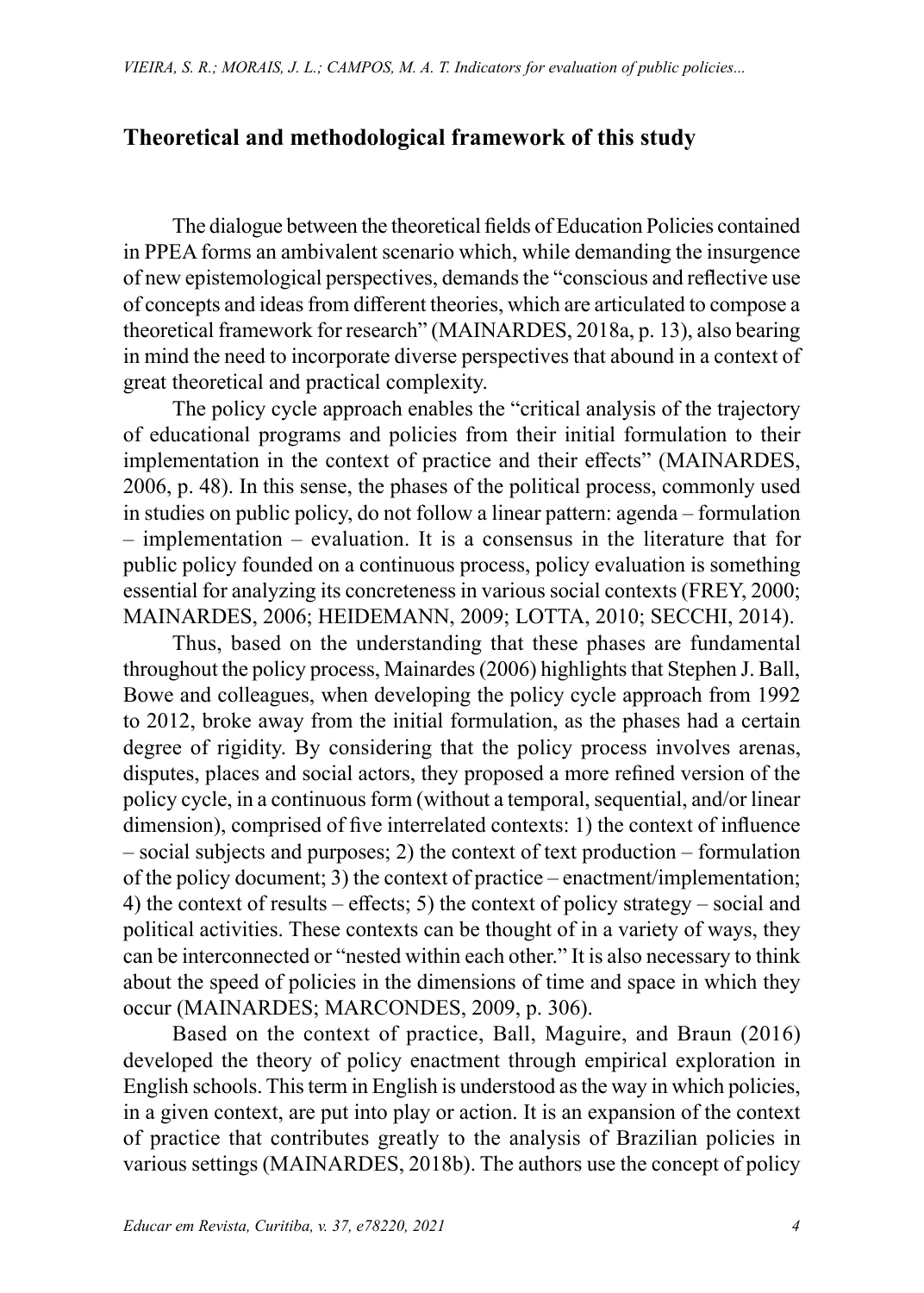## **Theoretical and methodological framework of this study**

The dialogue between the theoretical fields of Education Policies contained in PPEA forms an ambivalent scenario which, while demanding the insurgence of new epistemological perspectives, demands the "conscious and reflective use of concepts and ideas from different theories, which are articulated to compose a theoretical framework for research" (MAINARDES, 2018a, p. 13), also bearing in mind the need to incorporate diverse perspectives that abound in a context of great theoretical and practical complexity.

The policy cycle approach enables the "critical analysis of the trajectory of educational programs and policies from their initial formulation to their implementation in the context of practice and their effects" (MAINARDES, 2006, p. 48). In this sense, the phases of the political process, commonly used in studies on public policy, do not follow a linear pattern: agenda – formulation – implementation – evaluation. It is a consensus in the literature that for public policy founded on a continuous process, policy evaluation is something essential for analyzing its concreteness in various social contexts (FREY, 2000; MAINARDES, 2006; HEIDEMANN, 2009; LOTTA, 2010; SECCHI, 2014).

Thus, based on the understanding that these phases are fundamental throughout the policy process, Mainardes (2006) highlights that Stephen J. Ball, Bowe and colleagues, when developing the policy cycle approach from 1992 to 2012, broke away from the initial formulation, as the phases had a certain degree of rigidity. By considering that the policy process involves arenas, disputes, places and social actors, they proposed a more refined version of the policy cycle, in a continuous form (without a temporal, sequential, and/or linear dimension), comprised of five interrelated contexts: 1) the context of influence – social subjects and purposes; 2) the context of text production – formulation of the policy document; 3) the context of practice – enactment/implementation; 4) the context of results – effects; 5) the context of policy strategy – social and political activities. These contexts can be thought of in a variety of ways, they can be interconnected or "nested within each other." It is also necessary to think about the speed of policies in the dimensions of time and space in which they occur (MAINARDES; MARCONDES, 2009, p. 306).

Based on the context of practice, Ball, Maguire, and Braun (2016) developed the theory of policy enactment through empirical exploration in English schools. This term in English is understood as the way in which policies, in a given context, are put into play or action. It is an expansion of the context of practice that contributes greatly to the analysis of Brazilian policies in various settings (MAINARDES, 2018b). The authors use the concept of policy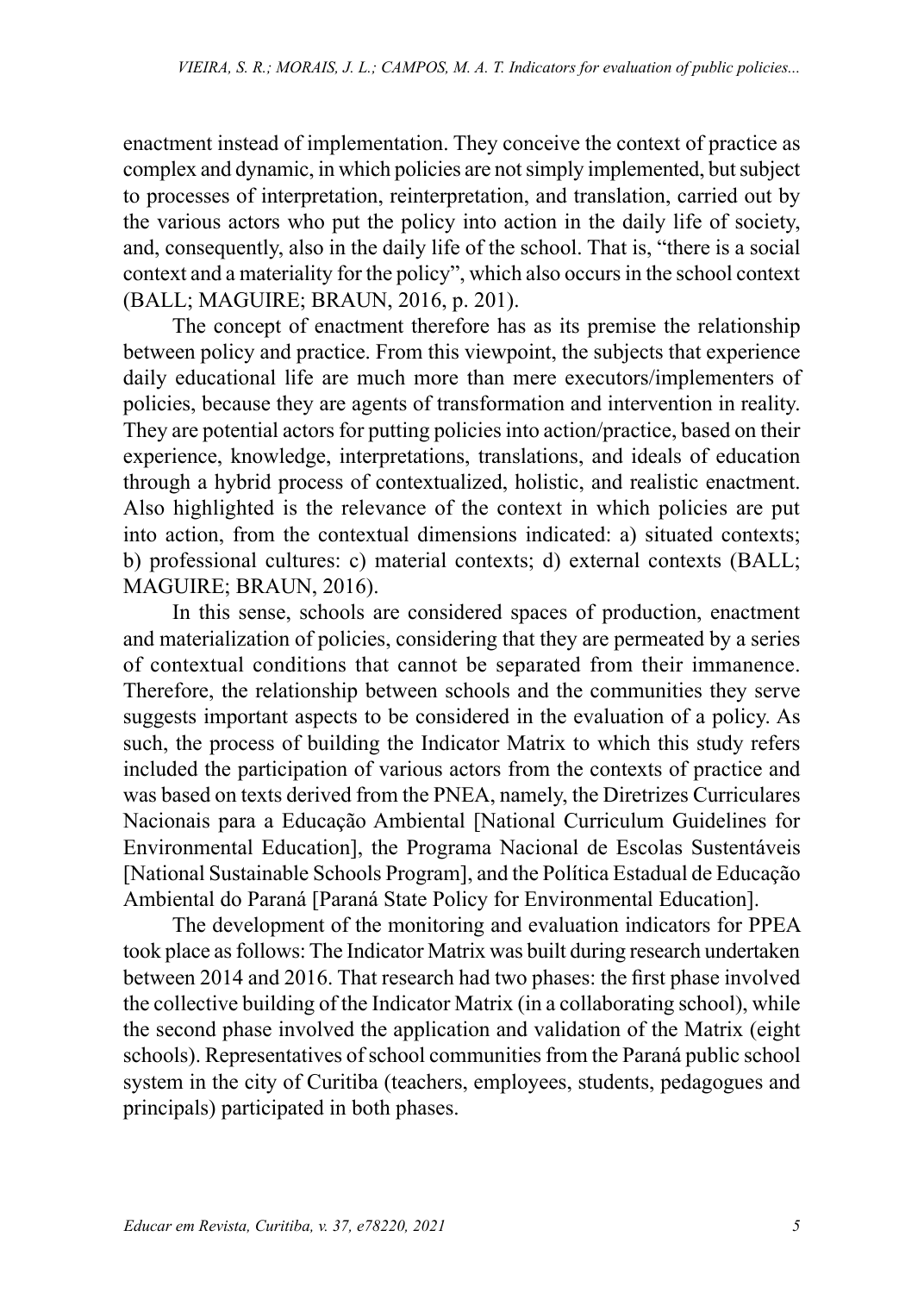enactment instead of implementation. They conceive the context of practice as complex and dynamic, in which policies are not simply implemented, but subject to processes of interpretation, reinterpretation, and translation, carried out by the various actors who put the policy into action in the daily life of society, and, consequently, also in the daily life of the school. That is, "there is a social context and a materiality for the policy", which also occurs in the school context (BALL; MAGUIRE; BRAUN, 2016, p. 201).

The concept of enactment therefore has as its premise the relationship between policy and practice. From this viewpoint, the subjects that experience daily educational life are much more than mere executors/implementers of policies, because they are agents of transformation and intervention in reality. They are potential actors for putting policies into action/practice, based on their experience, knowledge, interpretations, translations, and ideals of education through a hybrid process of contextualized, holistic, and realistic enactment. Also highlighted is the relevance of the context in which policies are put into action, from the contextual dimensions indicated: a) situated contexts; b) professional cultures: c) material contexts; d) external contexts (BALL; MAGUIRE; BRAUN, 2016).

In this sense, schools are considered spaces of production, enactment and materialization of policies, considering that they are permeated by a series of contextual conditions that cannot be separated from their immanence. Therefore, the relationship between schools and the communities they serve suggests important aspects to be considered in the evaluation of a policy. As such, the process of building the Indicator Matrix to which this study refers included the participation of various actors from the contexts of practice and was based on texts derived from the PNEA, namely, the Diretrizes Curriculares Nacionais para a Educação Ambiental [National Curriculum Guidelines for Environmental Education], the Programa Nacional de Escolas Sustentáveis [National Sustainable Schools Program], and the Política Estadual de Educação Ambiental do Paraná [Paraná State Policy for Environmental Education].

The development of the monitoring and evaluation indicators for PPEA took place as follows: The Indicator Matrix was built during research undertaken between 2014 and 2016. That research had two phases: the first phase involved the collective building of the Indicator Matrix (in a collaborating school), while the second phase involved the application and validation of the Matrix (eight schools). Representatives of school communities from the Paraná public school system in the city of Curitiba (teachers, employees, students, pedagogues and principals) participated in both phases.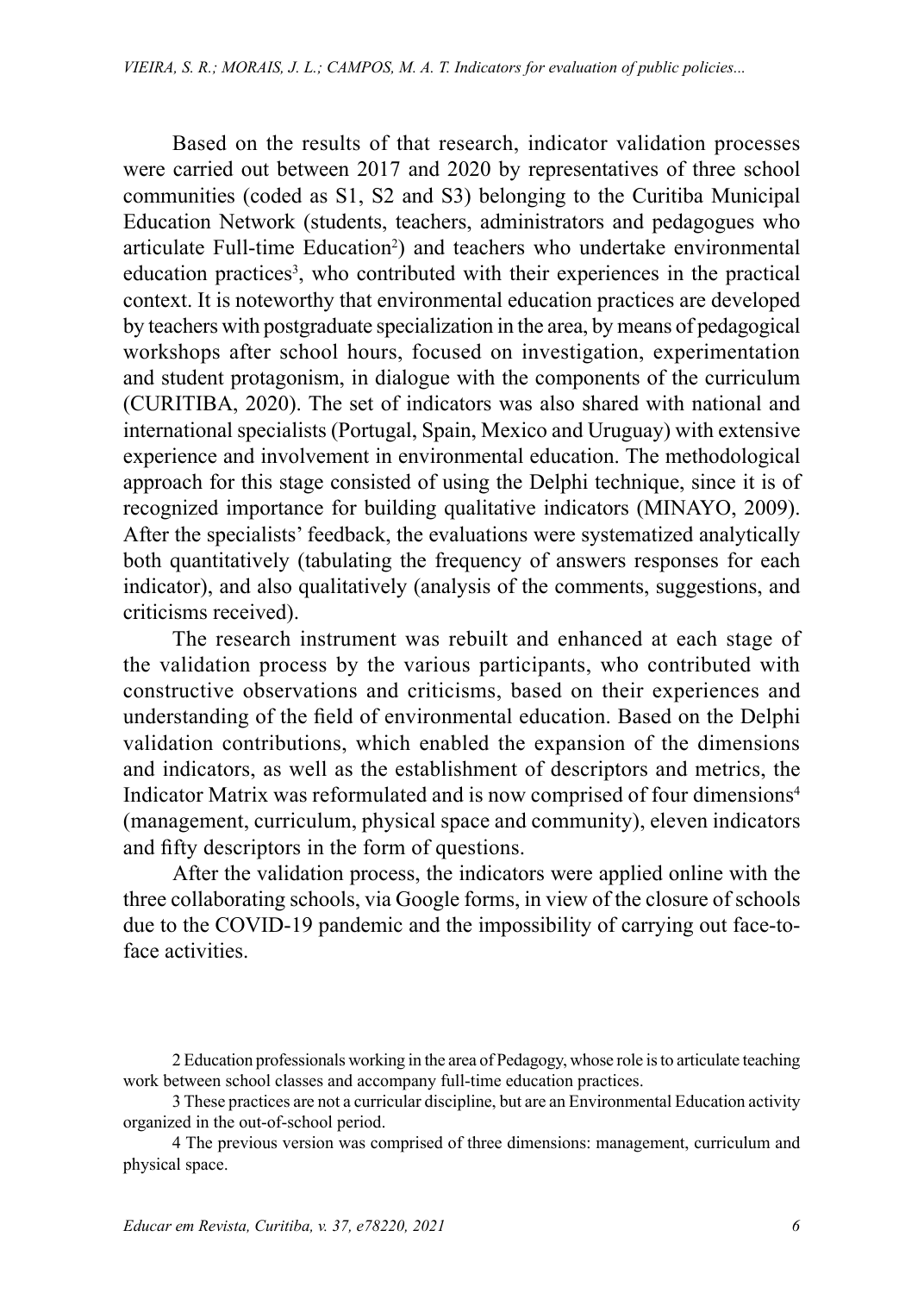Based on the results of that research, indicator validation processes were carried out between 2017 and 2020 by representatives of three school communities (coded as S1, S2 and S3) belonging to the Curitiba Municipal Education Network (students, teachers, administrators and pedagogues who articulate Full-time Education<sup>2</sup>) and teachers who undertake environmental education practices<sup>3</sup>, who contributed with their experiences in the practical context. It is noteworthy that environmental education practices are developed by teachers with postgraduate specialization in the area, by means of pedagogical workshops after school hours, focused on investigation, experimentation and student protagonism, in dialogue with the components of the curriculum (CURITIBA, 2020). The set of indicators was also shared with national and international specialists (Portugal, Spain, Mexico and Uruguay) with extensive experience and involvement in environmental education. The methodological approach for this stage consisted of using the Delphi technique, since it is of recognized importance for building qualitative indicators (MINAYO, 2009). After the specialists' feedback, the evaluations were systematized analytically both quantitatively (tabulating the frequency of answers responses for each indicator), and also qualitatively (analysis of the comments, suggestions, and criticisms received).

The research instrument was rebuilt and enhanced at each stage of the validation process by the various participants, who contributed with constructive observations and criticisms, based on their experiences and understanding of the field of environmental education. Based on the Delphi validation contributions, which enabled the expansion of the dimensions and indicators, as well as the establishment of descriptors and metrics, the Indicator Matrix was reformulated and is now comprised of four dimensions<sup>4</sup> (management, curriculum, physical space and community), eleven indicators and fifty descriptors in the form of questions.

After the validation process, the indicators were applied online with the three collaborating schools, via Google forms, in view of the closure of schools due to the COVID-19 pandemic and the impossibility of carrying out face-toface activities.

<sup>2</sup> Education professionals working in the area of Pedagogy, whose role is to articulate teaching work between school classes and accompany full-time education practices.

<sup>3</sup> These practices are not a curricular discipline, but are an Environmental Education activity organized in the out-of-school period.

<sup>4</sup> The previous version was comprised of three dimensions: management, curriculum and physical space.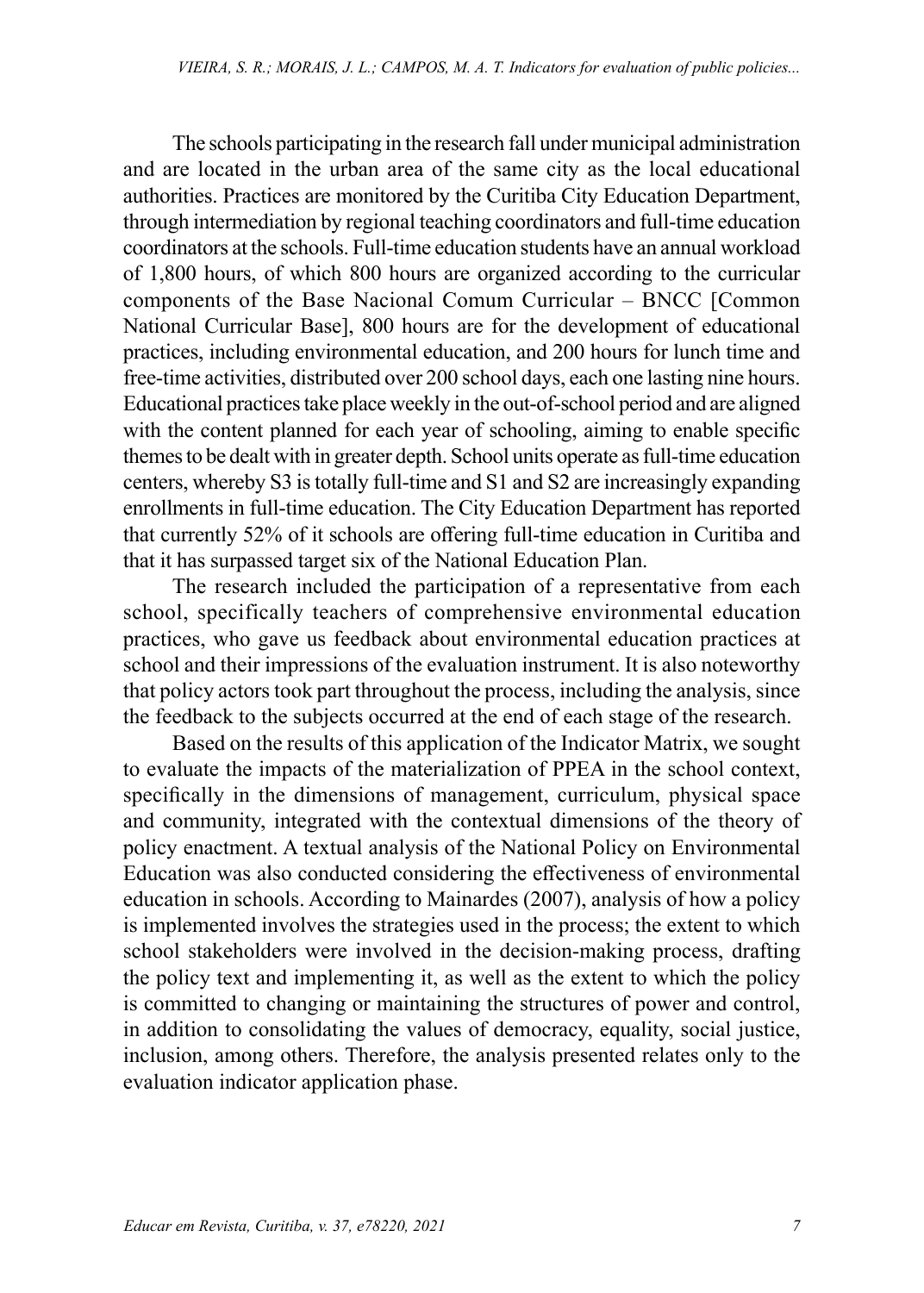The schools participating in the research fall under municipal administration and are located in the urban area of the same city as the local educational authorities. Practices are monitored by the Curitiba City Education Department, through intermediation by regional teaching coordinators and full-time education coordinators at the schools. Full-time education students have an annual workload of 1,800 hours, of which 800 hours are organized according to the curricular components of the Base Nacional Comum Curricular – BNCC [Common National Curricular Base], 800 hours are for the development of educational practices, including environmental education, and 200 hours for lunch time and free-time activities, distributed over 200 school days, each one lasting nine hours. Educational practices take place weekly in the out-of-school period and are aligned with the content planned for each year of schooling, aiming to enable specific themes to be dealt with in greater depth. School units operate as full-time education centers, whereby S3 is totally full-time and S1 and S2 are increasingly expanding enrollments in full-time education. The City Education Department has reported that currently 52% of it schools are offering full-time education in Curitiba and that it has surpassed target six of the National Education Plan.

The research included the participation of a representative from each school, specifically teachers of comprehensive environmental education practices, who gave us feedback about environmental education practices at school and their impressions of the evaluation instrument. It is also noteworthy that policy actors took part throughout the process, including the analysis, since the feedback to the subjects occurred at the end of each stage of the research.

Based on the results of this application of the Indicator Matrix, we sought to evaluate the impacts of the materialization of PPEA in the school context, specifically in the dimensions of management, curriculum, physical space and community, integrated with the contextual dimensions of the theory of policy enactment. A textual analysis of the National Policy on Environmental Education was also conducted considering the effectiveness of environmental education in schools. According to Mainardes (2007), analysis of how a policy is implemented involves the strategies used in the process; the extent to which school stakeholders were involved in the decision-making process, drafting the policy text and implementing it, as well as the extent to which the policy is committed to changing or maintaining the structures of power and control, in addition to consolidating the values of democracy, equality, social justice, inclusion, among others. Therefore, the analysis presented relates only to the evaluation indicator application phase.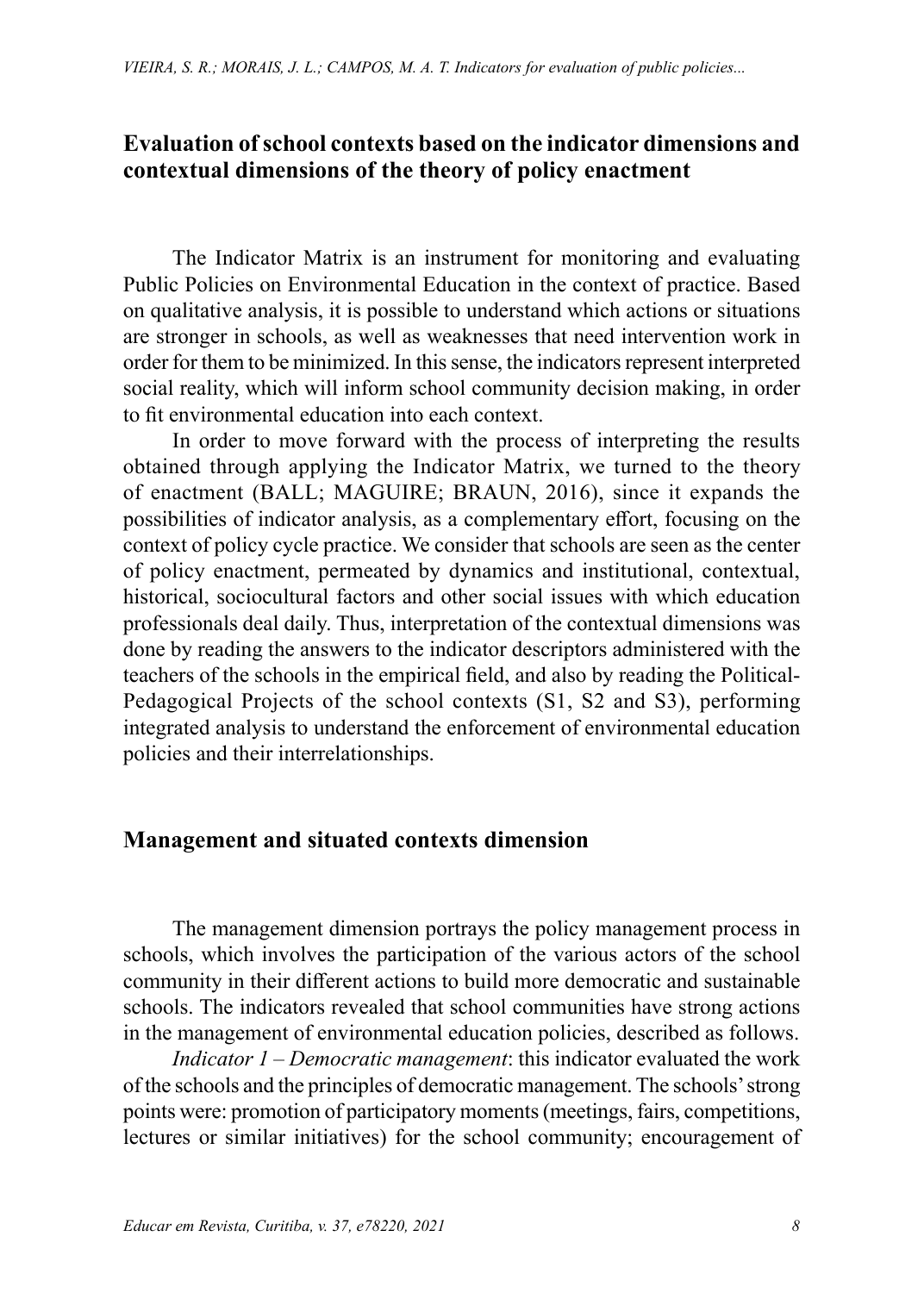### **Evaluation of school contexts based on the indicator dimensions and contextual dimensions of the theory of policy enactment**

The Indicator Matrix is an instrument for monitoring and evaluating Public Policies on Environmental Education in the context of practice. Based on qualitative analysis, it is possible to understand which actions or situations are stronger in schools, as well as weaknesses that need intervention work in order for them to be minimized. In this sense, the indicators represent interpreted social reality, which will inform school community decision making, in order to fit environmental education into each context.

In order to move forward with the process of interpreting the results obtained through applying the Indicator Matrix, we turned to the theory of enactment (BALL; MAGUIRE; BRAUN, 2016), since it expands the possibilities of indicator analysis, as a complementary effort, focusing on the context of policy cycle practice. We consider that schools are seen as the center of policy enactment, permeated by dynamics and institutional, contextual, historical, sociocultural factors and other social issues with which education professionals deal daily. Thus, interpretation of the contextual dimensions was done by reading the answers to the indicator descriptors administered with the teachers of the schools in the empirical field, and also by reading the Political-Pedagogical Projects of the school contexts (S1, S2 and S3), performing integrated analysis to understand the enforcement of environmental education policies and their interrelationships.

## **Management and situated contexts dimension**

The management dimension portrays the policy management process in schools, which involves the participation of the various actors of the school community in their different actions to build more democratic and sustainable schools. The indicators revealed that school communities have strong actions in the management of environmental education policies, described as follows.

*Indicator 1 – Democratic management*: this indicator evaluated the work of the schools and the principles of democratic management. The schools' strong points were: promotion of participatory moments (meetings, fairs, competitions, lectures or similar initiatives) for the school community; encouragement of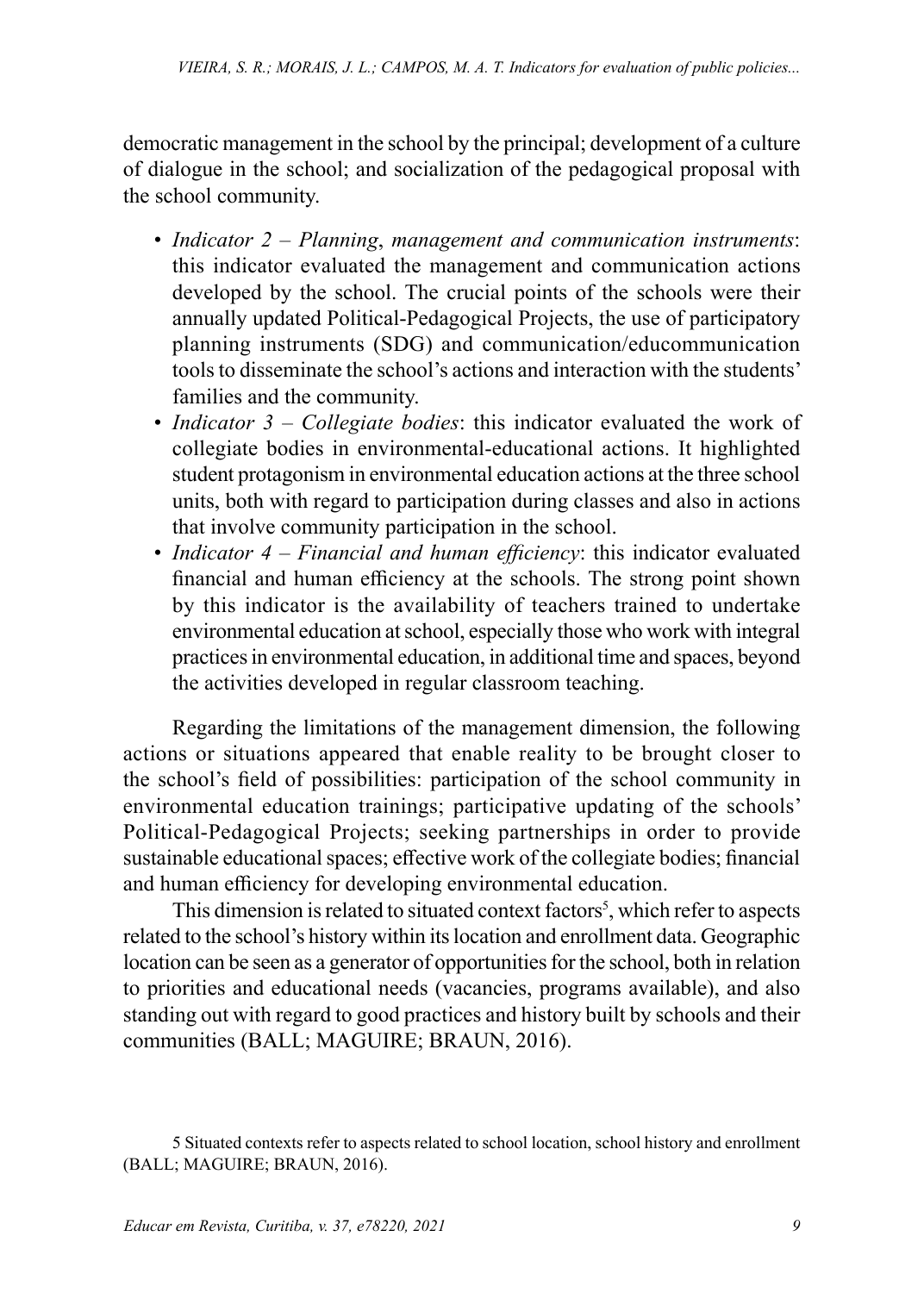democratic management in the school by the principal; development of a culture of dialogue in the school; and socialization of the pedagogical proposal with the school community.

- *Indicator 2 Planning*, *management and communication instruments*: this indicator evaluated the management and communication actions developed by the school. The crucial points of the schools were their annually updated Political-Pedagogical Projects, the use of participatory planning instruments (SDG) and communication/educommunication tools to disseminate the school's actions and interaction with the students' families and the community.
- *Indicator 3 Collegiate bodies*: this indicator evaluated the work of collegiate bodies in environmental-educational actions. It highlighted student protagonism in environmental education actions at the three school units, both with regard to participation during classes and also in actions that involve community participation in the school.
- *Indicator 4 Financial and human efficiency*: this indicator evaluated financial and human efficiency at the schools. The strong point shown by this indicator is the availability of teachers trained to undertake environmental education at school, especially those who work with integral practices in environmental education, in additional time and spaces, beyond the activities developed in regular classroom teaching.

Regarding the limitations of the management dimension, the following actions or situations appeared that enable reality to be brought closer to the school's field of possibilities: participation of the school community in environmental education trainings; participative updating of the schools' Political-Pedagogical Projects; seeking partnerships in order to provide sustainable educational spaces; effective work of the collegiate bodies; financial and human efficiency for developing environmental education.

This dimension is related to situated context factors<sup>5</sup>, which refer to aspects related to the school's history within its location and enrollment data. Geographic location can be seen as a generator of opportunities for the school, both in relation to priorities and educational needs (vacancies, programs available), and also standing out with regard to good practices and history built by schools and their communities (BALL; MAGUIRE; BRAUN, 2016).

<sup>5</sup> Situated contexts refer to aspects related to school location, school history and enrollment (BALL; MAGUIRE; BRAUN, 2016).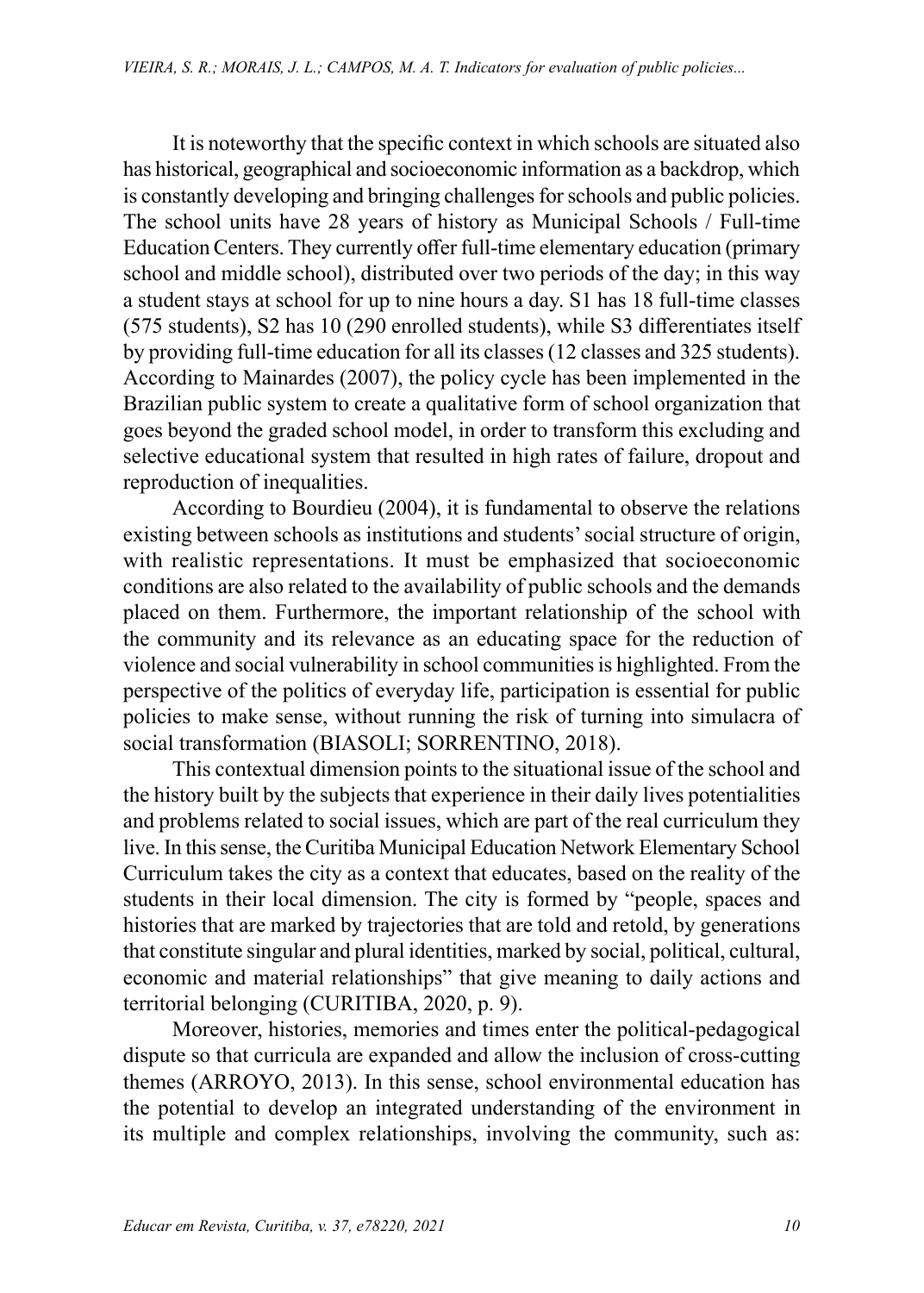It is noteworthy that the specific context in which schools are situated also has historical, geographical and socioeconomic information as a backdrop, which is constantly developing and bringing challenges for schools and public policies. The school units have 28 years of history as Municipal Schools / Full-time Education Centers. They currently offer full-time elementary education (primary school and middle school), distributed over two periods of the day; in this way a student stays at school for up to nine hours a day. S1 has 18 full-time classes (575 students), S2 has 10 (290 enrolled students), while S3 differentiates itself by providing full-time education for all its classes (12 classes and 325 students). According to Mainardes (2007), the policy cycle has been implemented in the Brazilian public system to create a qualitative form of school organization that goes beyond the graded school model, in order to transform this excluding and selective educational system that resulted in high rates of failure, dropout and reproduction of inequalities.

According to Bourdieu (2004), it is fundamental to observe the relations existing between schools as institutions and students' social structure of origin, with realistic representations. It must be emphasized that socioeconomic conditions are also related to the availability of public schools and the demands placed on them. Furthermore, the important relationship of the school with the community and its relevance as an educating space for the reduction of violence and social vulnerability in school communities is highlighted. From the perspective of the politics of everyday life, participation is essential for public policies to make sense, without running the risk of turning into simulacra of social transformation (BIASOLI; SORRENTINO, 2018).

This contextual dimension points to the situational issue of the school and the history built by the subjects that experience in their daily lives potentialities and problems related to social issues, which are part of the real curriculum they live. In this sense, the Curitiba Municipal Education Network Elementary School Curriculum takes the city as a context that educates, based on the reality of the students in their local dimension. The city is formed by "people, spaces and histories that are marked by trajectories that are told and retold, by generations that constitute singular and plural identities, marked by social, political, cultural, economic and material relationships" that give meaning to daily actions and territorial belonging (CURITIBA, 2020, p. 9).

Moreover, histories, memories and times enter the political-pedagogical dispute so that curricula are expanded and allow the inclusion of cross-cutting themes (ARROYO, 2013). In this sense, school environmental education has the potential to develop an integrated understanding of the environment in its multiple and complex relationships, involving the community, such as: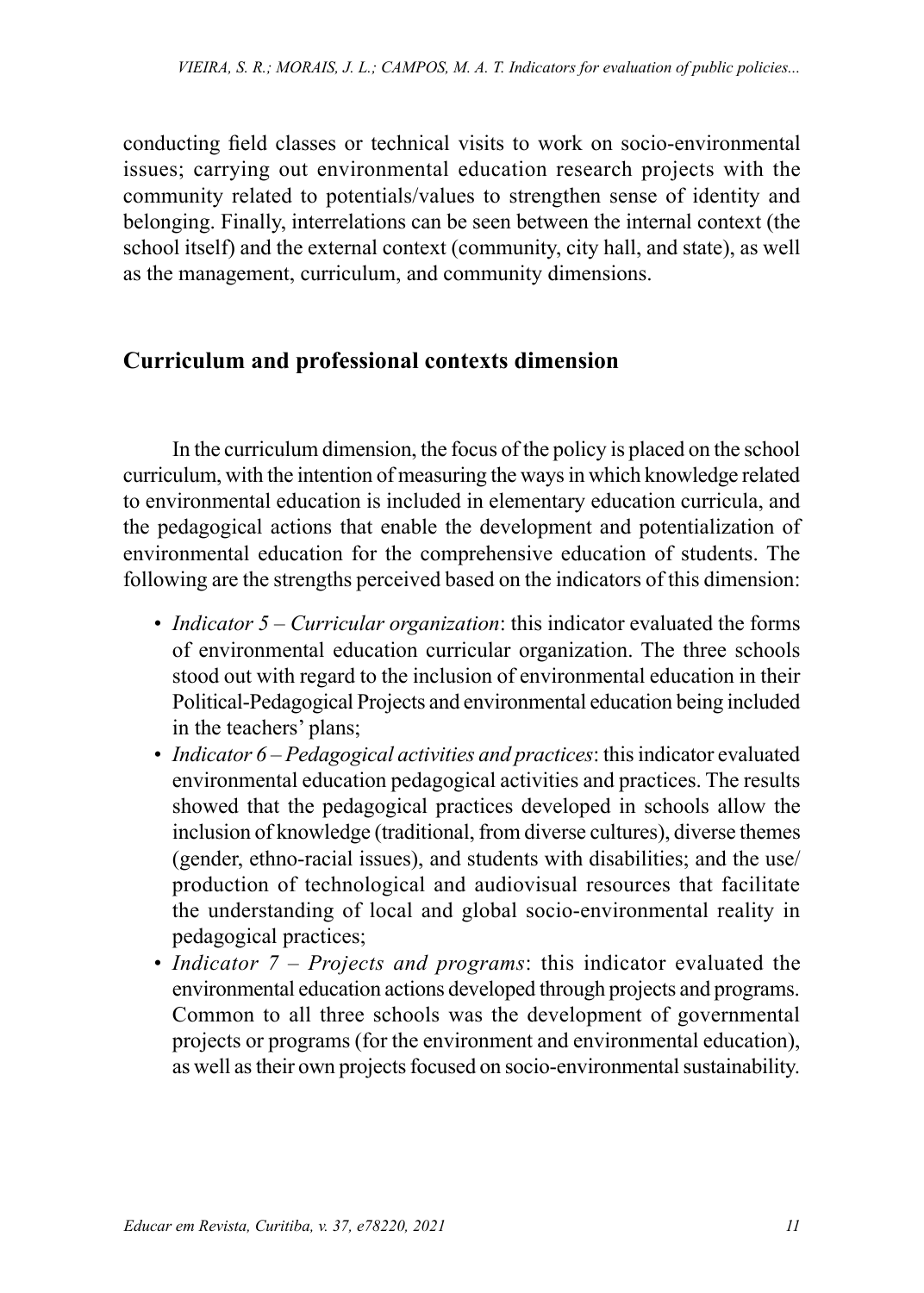conducting field classes or technical visits to work on socio-environmental issues; carrying out environmental education research projects with the community related to potentials/values to strengthen sense of identity and belonging. Finally, interrelations can be seen between the internal context (the school itself) and the external context (community, city hall, and state), as well as the management, curriculum, and community dimensions.

# **Curriculum and professional contexts dimension**

In the curriculum dimension, the focus of the policy is placed on the school curriculum, with the intention of measuring the ways in which knowledge related to environmental education is included in elementary education curricula, and the pedagogical actions that enable the development and potentialization of environmental education for the comprehensive education of students. The following are the strengths perceived based on the indicators of this dimension:

- *Indicator 5 Curricular organization*: this indicator evaluated the forms of environmental education curricular organization. The three schools stood out with regard to the inclusion of environmental education in their Political-Pedagogical Projects and environmental education being included in the teachers' plans;
- *Indicator 6 Pedagogical activities and practices*: this indicator evaluated environmental education pedagogical activities and practices. The results showed that the pedagogical practices developed in schools allow the inclusion of knowledge (traditional, from diverse cultures), diverse themes (gender, ethno-racial issues), and students with disabilities; and the use/ production of technological and audiovisual resources that facilitate the understanding of local and global socio-environmental reality in pedagogical practices;
- *Indicator 7 Projects and programs*: this indicator evaluated the environmental education actions developed through projects and programs. Common to all three schools was the development of governmental projects or programs (for the environment and environmental education), as well as their own projects focused on socio-environmental sustainability.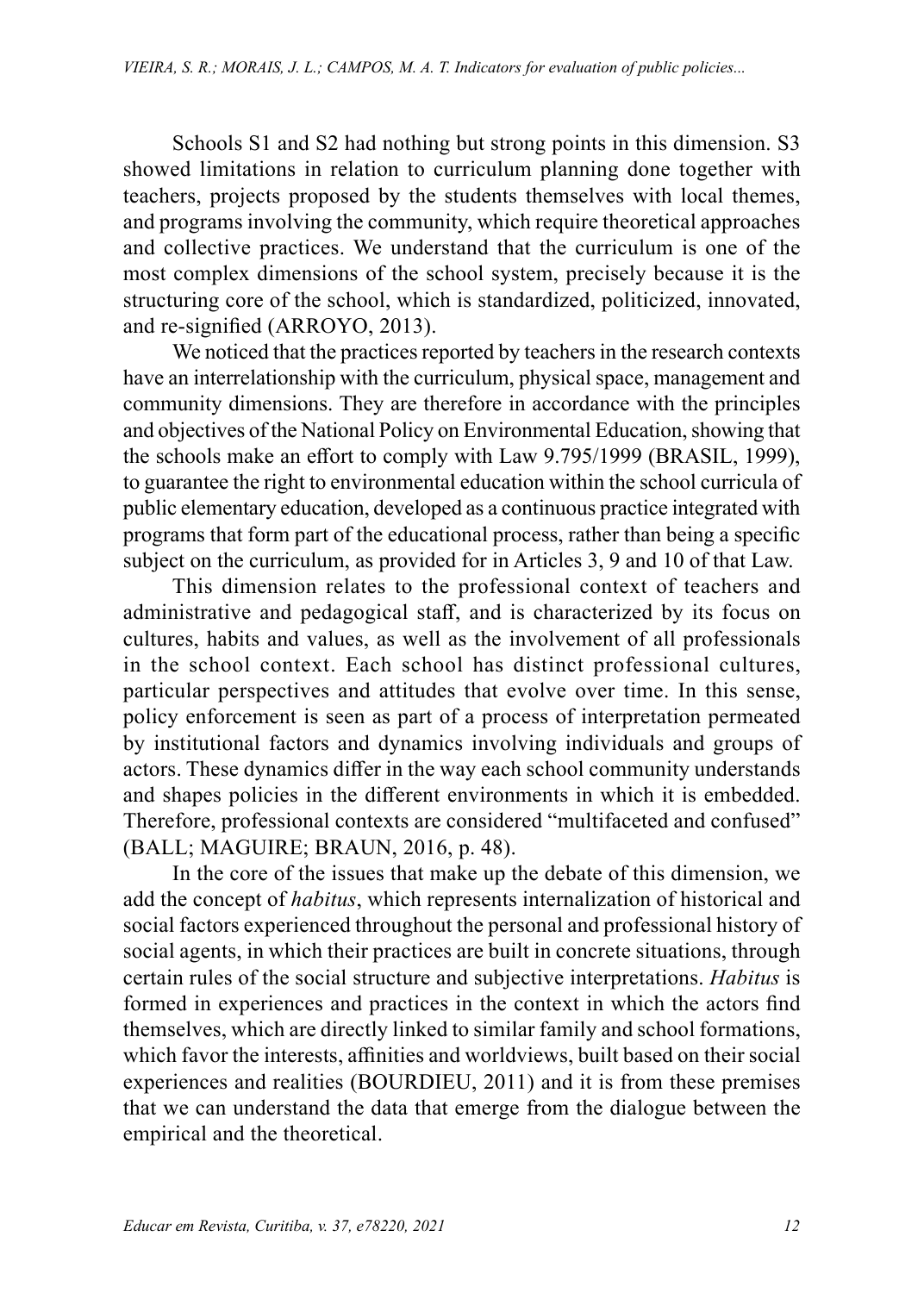Schools S1 and S2 had nothing but strong points in this dimension. S3 showed limitations in relation to curriculum planning done together with teachers, projects proposed by the students themselves with local themes, and programs involving the community, which require theoretical approaches and collective practices. We understand that the curriculum is one of the most complex dimensions of the school system, precisely because it is the structuring core of the school, which is standardized, politicized, innovated, and re-signified (ARROYO, 2013).

We noticed that the practices reported by teachers in the research contexts have an interrelationship with the curriculum, physical space, management and community dimensions. They are therefore in accordance with the principles and objectives of the National Policy on Environmental Education, showing that the schools make an effort to comply with Law 9.795/1999 (BRASIL, 1999), to guarantee the right to environmental education within the school curricula of public elementary education, developed as a continuous practice integrated with programs that form part of the educational process, rather than being a specific subject on the curriculum, as provided for in Articles 3, 9 and 10 of that Law.

This dimension relates to the professional context of teachers and administrative and pedagogical staff, and is characterized by its focus on cultures, habits and values, as well as the involvement of all professionals in the school context. Each school has distinct professional cultures, particular perspectives and attitudes that evolve over time. In this sense, policy enforcement is seen as part of a process of interpretation permeated by institutional factors and dynamics involving individuals and groups of actors. These dynamics differ in the way each school community understands and shapes policies in the different environments in which it is embedded. Therefore, professional contexts are considered "multifaceted and confused" (BALL; MAGUIRE; BRAUN, 2016, p. 48).

In the core of the issues that make up the debate of this dimension, we add the concept of *habitus*, which represents internalization of historical and social factors experienced throughout the personal and professional history of social agents, in which their practices are built in concrete situations, through certain rules of the social structure and subjective interpretations. *Habitus* is formed in experiences and practices in the context in which the actors find themselves, which are directly linked to similar family and school formations, which favor the interests, affinities and worldviews, built based on their social experiences and realities (BOURDIEU, 2011) and it is from these premises that we can understand the data that emerge from the dialogue between the empirical and the theoretical.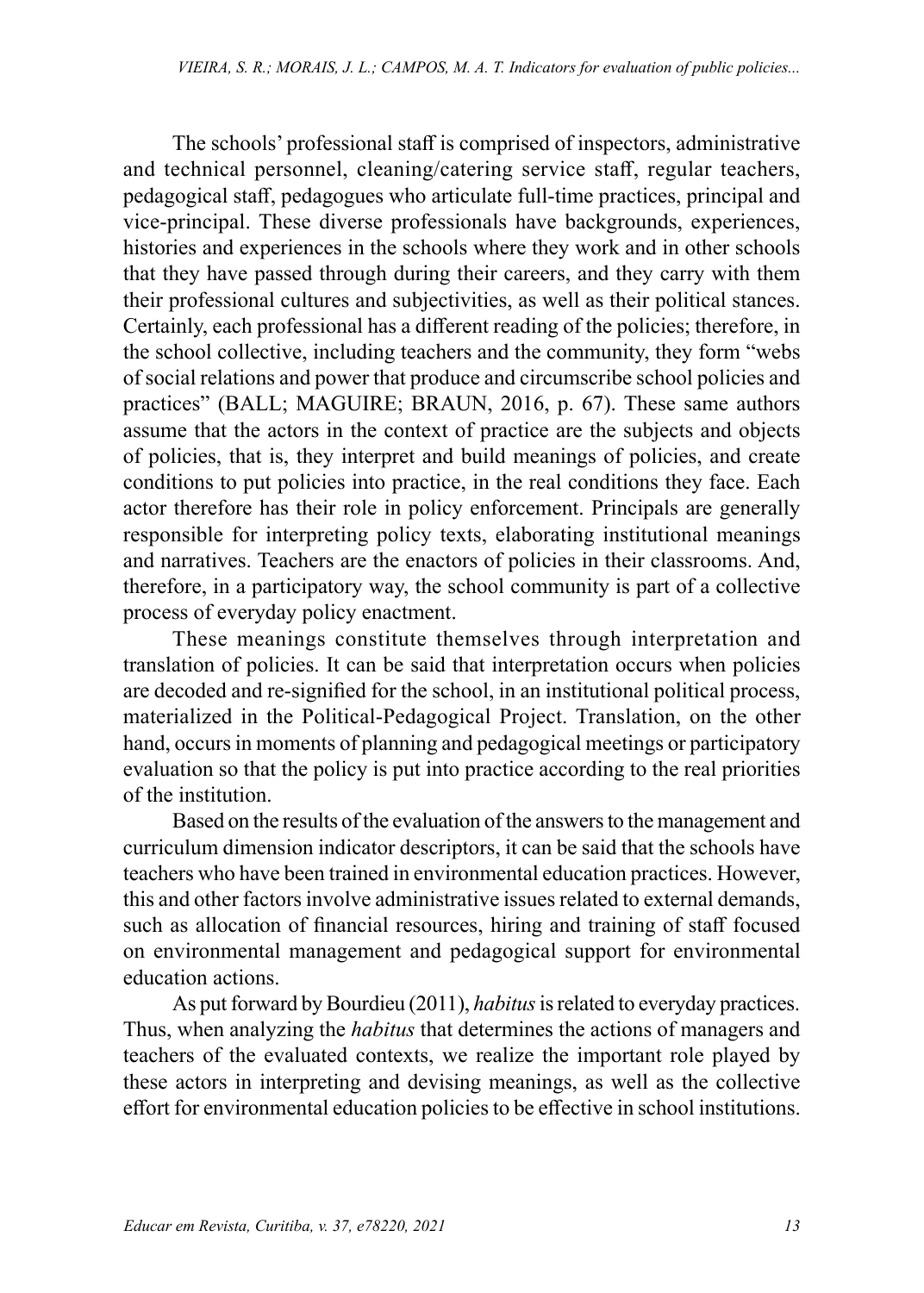The schools' professional staff is comprised of inspectors, administrative and technical personnel, cleaning/catering service staff, regular teachers, pedagogical staff, pedagogues who articulate full-time practices, principal and vice-principal. These diverse professionals have backgrounds, experiences, histories and experiences in the schools where they work and in other schools that they have passed through during their careers, and they carry with them their professional cultures and subjectivities, as well as their political stances. Certainly, each professional has a different reading of the policies; therefore, in the school collective, including teachers and the community, they form "webs of social relations and power that produce and circumscribe school policies and practices" (BALL; MAGUIRE; BRAUN, 2016, p. 67). These same authors assume that the actors in the context of practice are the subjects and objects of policies, that is, they interpret and build meanings of policies, and create conditions to put policies into practice, in the real conditions they face. Each actor therefore has their role in policy enforcement. Principals are generally responsible for interpreting policy texts, elaborating institutional meanings and narratives. Teachers are the enactors of policies in their classrooms. And, therefore, in a participatory way, the school community is part of a collective process of everyday policy enactment.

These meanings constitute themselves through interpretation and translation of policies. It can be said that interpretation occurs when policies are decoded and re-signified for the school, in an institutional political process, materialized in the Political-Pedagogical Project. Translation, on the other hand, occurs in moments of planning and pedagogical meetings or participatory evaluation so that the policy is put into practice according to the real priorities of the institution.

Based on the results of the evaluation of the answers to the management and curriculum dimension indicator descriptors, it can be said that the schools have teachers who have been trained in environmental education practices. However, this and other factors involve administrative issues related to external demands, such as allocation of financial resources, hiring and training of staff focused on environmental management and pedagogical support for environmental education actions.

As put forward by Bourdieu (2011), *habitus* is related to everyday practices. Thus, when analyzing the *habitus* that determines the actions of managers and teachers of the evaluated contexts, we realize the important role played by these actors in interpreting and devising meanings, as well as the collective effort for environmental education policies to be effective in school institutions.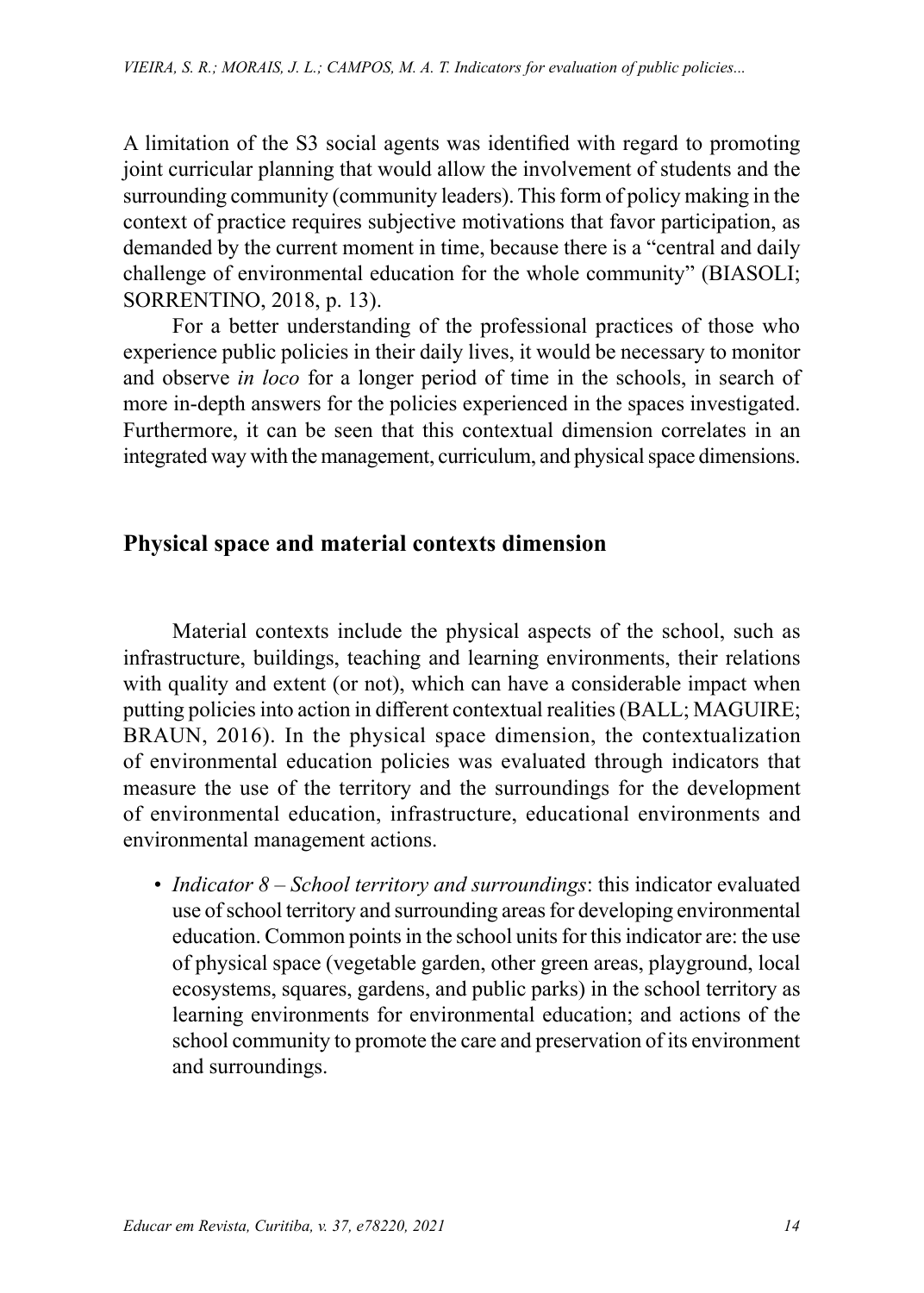A limitation of the S3 social agents was identified with regard to promoting joint curricular planning that would allow the involvement of students and the surrounding community (community leaders). This form of policy making in the context of practice requires subjective motivations that favor participation, as demanded by the current moment in time, because there is a "central and daily challenge of environmental education for the whole community" (BIASOLI; SORRENTINO, 2018, p. 13).

For a better understanding of the professional practices of those who experience public policies in their daily lives, it would be necessary to monitor and observe *in loco* for a longer period of time in the schools, in search of more in-depth answers for the policies experienced in the spaces investigated. Furthermore, it can be seen that this contextual dimension correlates in an integrated way with the management, curriculum, and physical space dimensions.

### **Physical space and material contexts dimension**

Material contexts include the physical aspects of the school, such as infrastructure, buildings, teaching and learning environments, their relations with quality and extent (or not), which can have a considerable impact when putting policies into action in different contextual realities (BALL; MAGUIRE; BRAUN, 2016). In the physical space dimension, the contextualization of environmental education policies was evaluated through indicators that measure the use of the territory and the surroundings for the development of environmental education, infrastructure, educational environments and environmental management actions.

• *Indicator 8 – School territory and surroundings*: this indicator evaluated use of school territory and surrounding areas for developing environmental education. Common points in the school units for this indicator are: the use of physical space (vegetable garden, other green areas, playground, local ecosystems, squares, gardens, and public parks) in the school territory as learning environments for environmental education; and actions of the school community to promote the care and preservation of its environment and surroundings.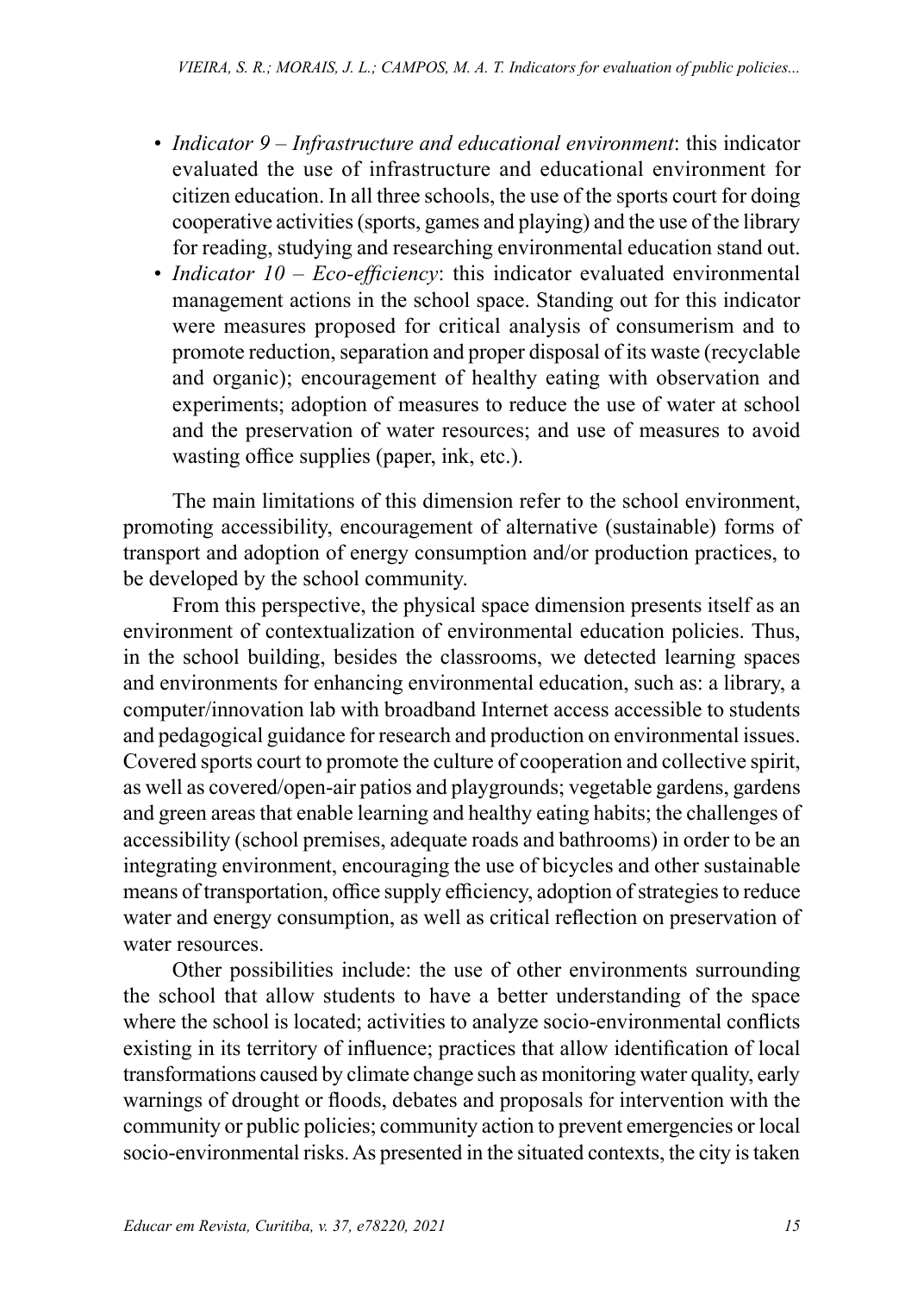- *Indicator 9 Infrastructure and educational environment*: this indicator evaluated the use of infrastructure and educational environment for citizen education. In all three schools, the use of the sports court for doing cooperative activities (sports, games and playing) and the use of the library for reading, studying and researching environmental education stand out.
- *Indicator 10 Eco-efficiency*: this indicator evaluated environmental management actions in the school space. Standing out for this indicator were measures proposed for critical analysis of consumerism and to promote reduction, separation and proper disposal of its waste (recyclable and organic); encouragement of healthy eating with observation and experiments; adoption of measures to reduce the use of water at school and the preservation of water resources; and use of measures to avoid wasting office supplies (paper, ink, etc.).

The main limitations of this dimension refer to the school environment, promoting accessibility, encouragement of alternative (sustainable) forms of transport and adoption of energy consumption and/or production practices, to be developed by the school community.

From this perspective, the physical space dimension presents itself as an environment of contextualization of environmental education policies. Thus, in the school building, besides the classrooms, we detected learning spaces and environments for enhancing environmental education, such as: a library, a computer/innovation lab with broadband Internet access accessible to students and pedagogical guidance for research and production on environmental issues. Covered sports court to promote the culture of cooperation and collective spirit, as well as covered/open-air patios and playgrounds; vegetable gardens, gardens and green areas that enable learning and healthy eating habits; the challenges of accessibility (school premises, adequate roads and bathrooms) in order to be an integrating environment, encouraging the use of bicycles and other sustainable means of transportation, office supply efficiency, adoption of strategies to reduce water and energy consumption, as well as critical reflection on preservation of water resources.

Other possibilities include: the use of other environments surrounding the school that allow students to have a better understanding of the space where the school is located; activities to analyze socio-environmental conflicts existing in its territory of influence; practices that allow identification of local transformations caused by climate change such as monitoring water quality, early warnings of drought or floods, debates and proposals for intervention with the community or public policies; community action to prevent emergencies or local socio-environmental risks. As presented in the situated contexts, the city is taken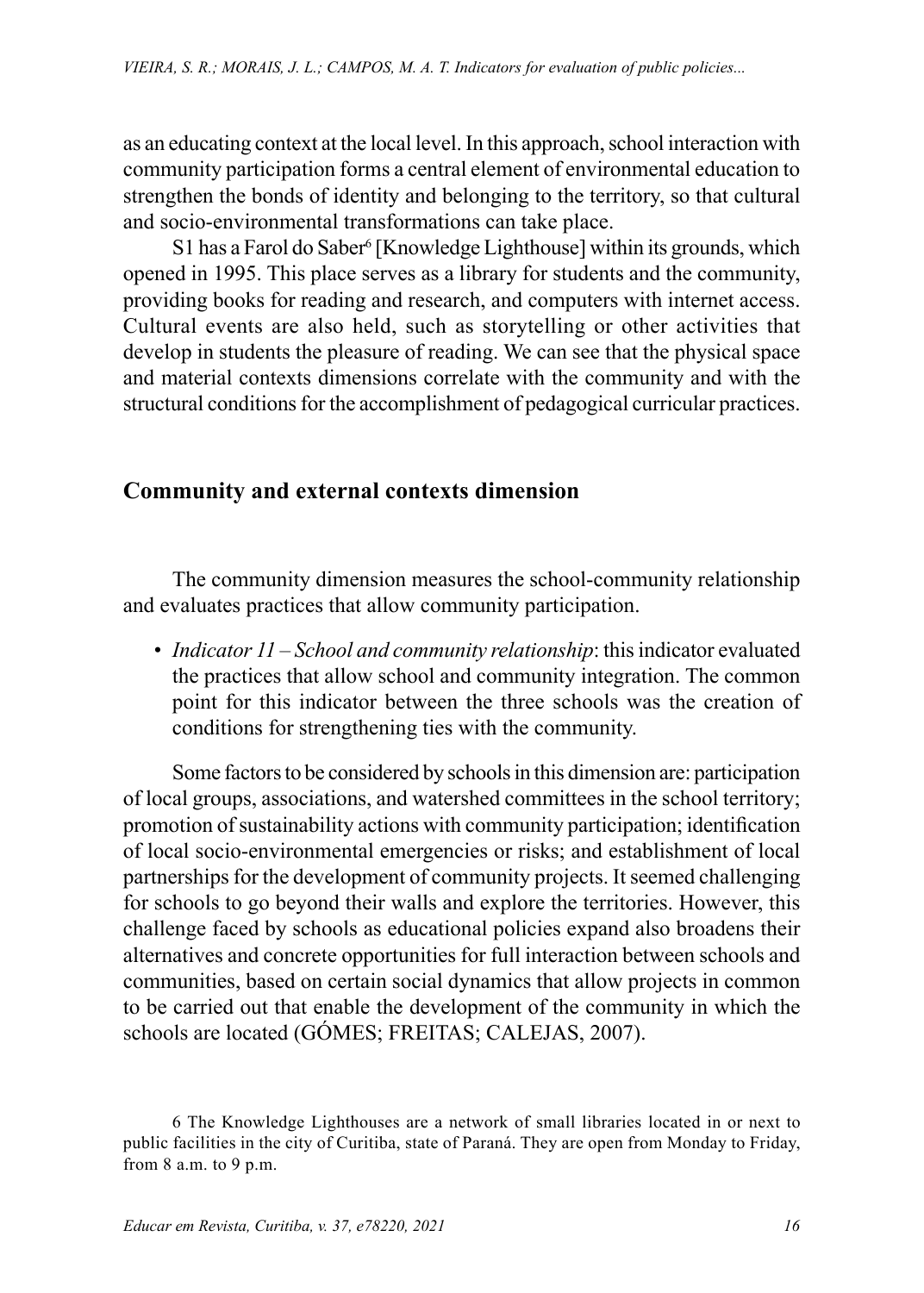as an educating context at the local level. In this approach, school interaction with community participation forms a central element of environmental education to strengthen the bonds of identity and belonging to the territory, so that cultural and socio-environmental transformations can take place.

S1 has a Farol do Saber<sup>6</sup> [Knowledge Lighthouse] within its grounds, which opened in 1995. This place serves as a library for students and the community, providing books for reading and research, and computers with internet access. Cultural events are also held, such as storytelling or other activities that develop in students the pleasure of reading. We can see that the physical space and material contexts dimensions correlate with the community and with the structural conditions for the accomplishment of pedagogical curricular practices.

### **Community and external contexts dimension**

The community dimension measures the school-community relationship and evaluates practices that allow community participation.

• *Indicator 11 – School and community relationship*: this indicator evaluated the practices that allow school and community integration. The common point for this indicator between the three schools was the creation of conditions for strengthening ties with the community.

Some factors to be considered by schools in this dimension are: participation of local groups, associations, and watershed committees in the school territory; promotion of sustainability actions with community participation; identification of local socio-environmental emergencies or risks; and establishment of local partnerships for the development of community projects. It seemed challenging for schools to go beyond their walls and explore the territories. However, this challenge faced by schools as educational policies expand also broadens their alternatives and concrete opportunities for full interaction between schools and communities, based on certain social dynamics that allow projects in common to be carried out that enable the development of the community in which the schools are located (GÓMES; FREITAS; CALEJAS, 2007).

<sup>6</sup> The Knowledge Lighthouses are a network of small libraries located in or next to public facilities in the city of Curitiba, state of Paraná. They are open from Monday to Friday, from 8 a.m. to 9 p.m.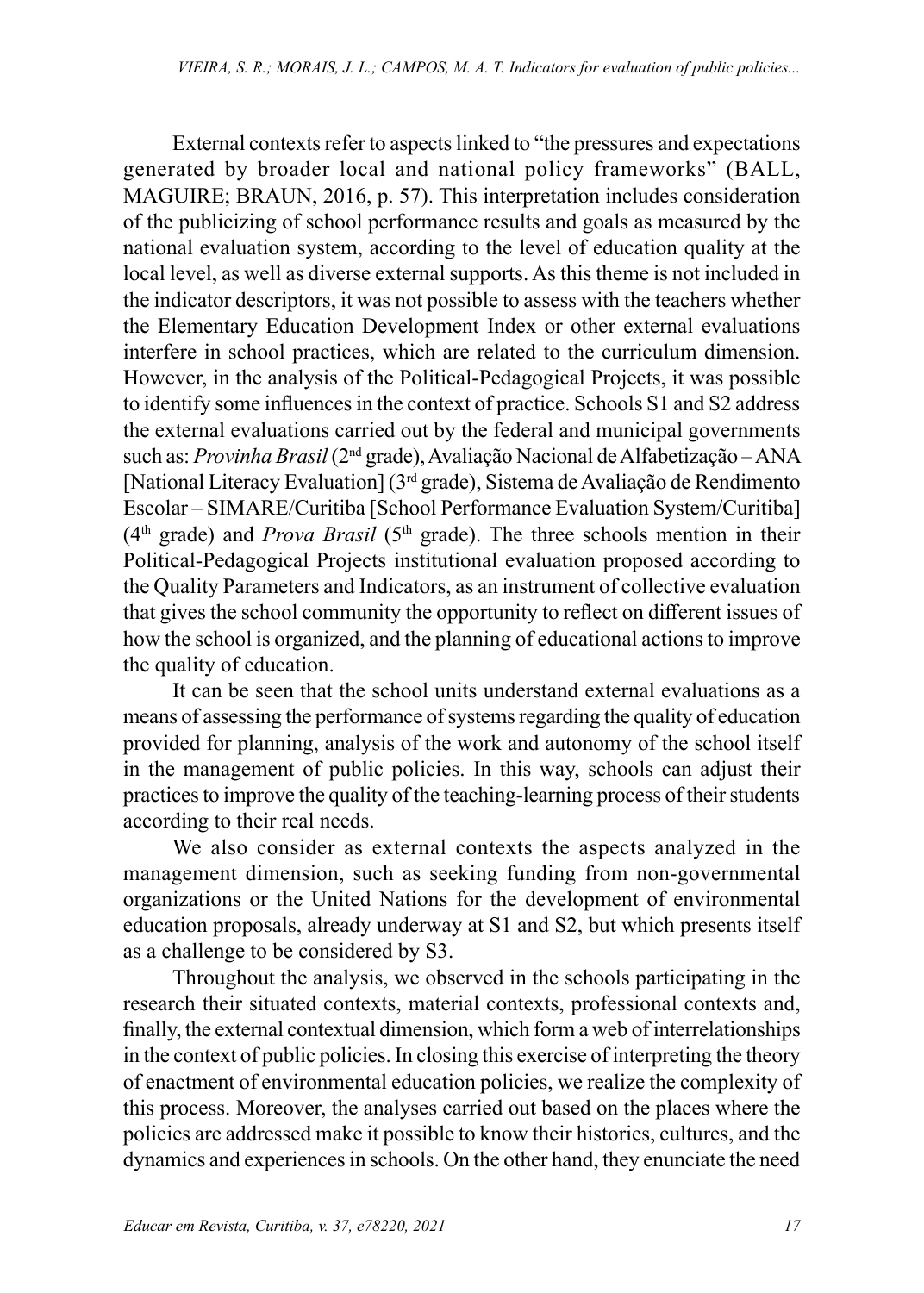External contexts refer to aspects linked to "the pressures and expectations generated by broader local and national policy frameworks" (BALL, MAGUIRE; BRAUN, 2016, p. 57). This interpretation includes consideration of the publicizing of school performance results and goals as measured by the national evaluation system, according to the level of education quality at the local level, as well as diverse external supports. As this theme is not included in the indicator descriptors, it was not possible to assess with the teachers whether the Elementary Education Development Index or other external evaluations interfere in school practices, which are related to the curriculum dimension. However, in the analysis of the Political-Pedagogical Projects, it was possible to identify some influences in the context of practice. Schools S1 and S2 address the external evaluations carried out by the federal and municipal governments such as: *Provinha Brasil* (2nd grade), Avaliação Nacional de Alfabetização – ANA [National Literacy Evaluation] (3rd grade), Sistema de Avaliação de Rendimento Escolar – SIMARE/Curitiba [School Performance Evaluation System/Curitiba]  $(4<sup>th</sup> grad)$  and *Prova Brasil* ( $5<sup>th</sup> grad)$ ). The three schools mention in their Political-Pedagogical Projects institutional evaluation proposed according to the Quality Parameters and Indicators, as an instrument of collective evaluation that gives the school community the opportunity to reflect on different issues of how the school is organized, and the planning of educational actions to improve the quality of education.

It can be seen that the school units understand external evaluations as a means of assessing the performance of systems regarding the quality of education provided for planning, analysis of the work and autonomy of the school itself in the management of public policies. In this way, schools can adjust their practices to improve the quality of the teaching-learning process of their students according to their real needs.

We also consider as external contexts the aspects analyzed in the management dimension, such as seeking funding from non-governmental organizations or the United Nations for the development of environmental education proposals, already underway at S1 and S2, but which presents itself as a challenge to be considered by S3.

Throughout the analysis, we observed in the schools participating in the research their situated contexts, material contexts, professional contexts and, finally, the external contextual dimension, which form a web of interrelationships in the context of public policies. In closing this exercise of interpreting the theory of enactment of environmental education policies, we realize the complexity of this process. Moreover, the analyses carried out based on the places where the policies are addressed make it possible to know their histories, cultures, and the dynamics and experiences in schools. On the other hand, they enunciate the need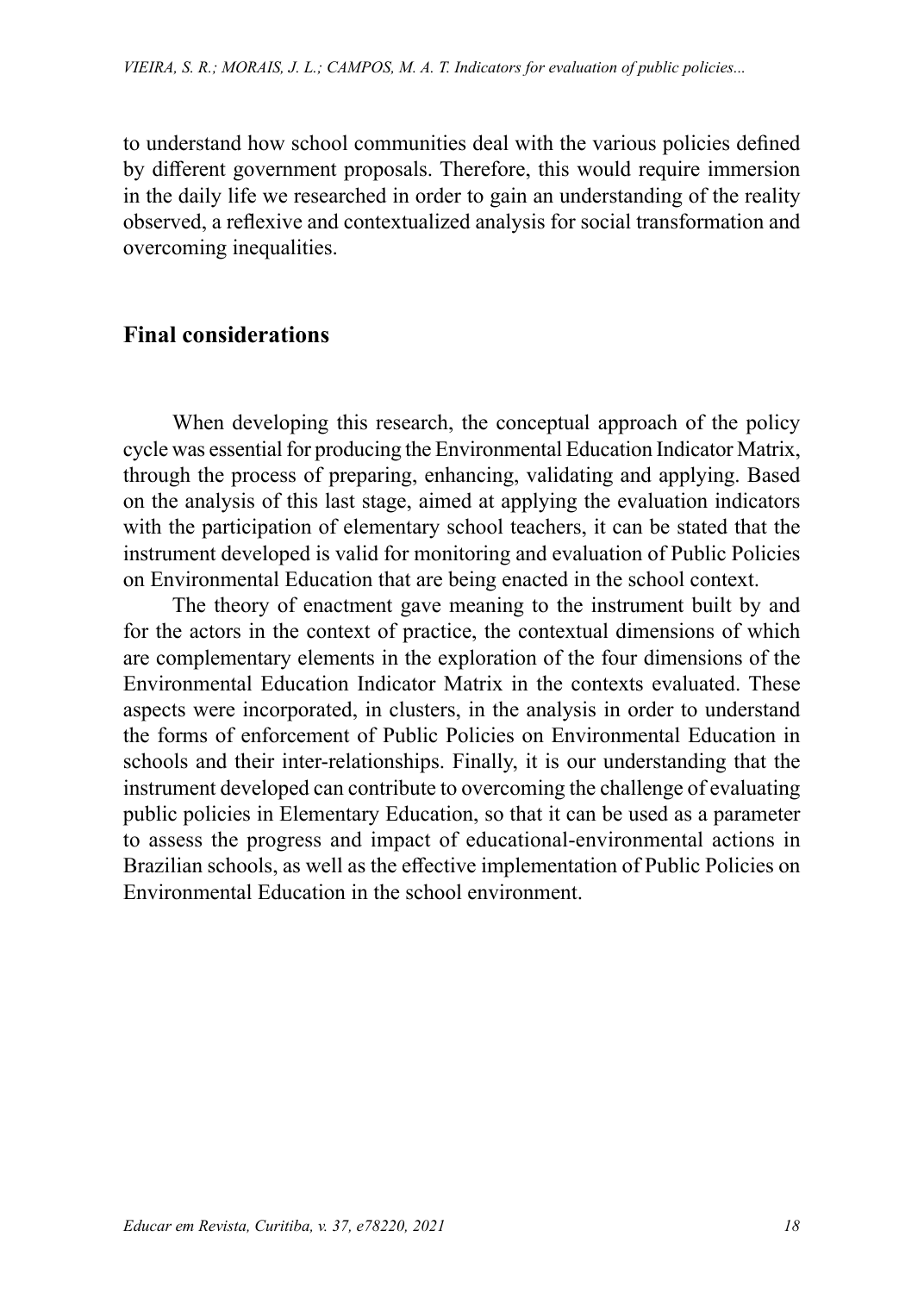to understand how school communities deal with the various policies defined by different government proposals. Therefore, this would require immersion in the daily life we researched in order to gain an understanding of the reality observed, a reflexive and contextualized analysis for social transformation and overcoming inequalities.

### **Final considerations**

When developing this research, the conceptual approach of the policy cycle was essential for producing the Environmental Education Indicator Matrix, through the process of preparing, enhancing, validating and applying. Based on the analysis of this last stage, aimed at applying the evaluation indicators with the participation of elementary school teachers, it can be stated that the instrument developed is valid for monitoring and evaluation of Public Policies on Environmental Education that are being enacted in the school context.

The theory of enactment gave meaning to the instrument built by and for the actors in the context of practice, the contextual dimensions of which are complementary elements in the exploration of the four dimensions of the Environmental Education Indicator Matrix in the contexts evaluated. These aspects were incorporated, in clusters, in the analysis in order to understand the forms of enforcement of Public Policies on Environmental Education in schools and their inter-relationships. Finally, it is our understanding that the instrument developed can contribute to overcoming the challenge of evaluating public policies in Elementary Education, so that it can be used as a parameter to assess the progress and impact of educational-environmental actions in Brazilian schools, as well as the effective implementation of Public Policies on Environmental Education in the school environment.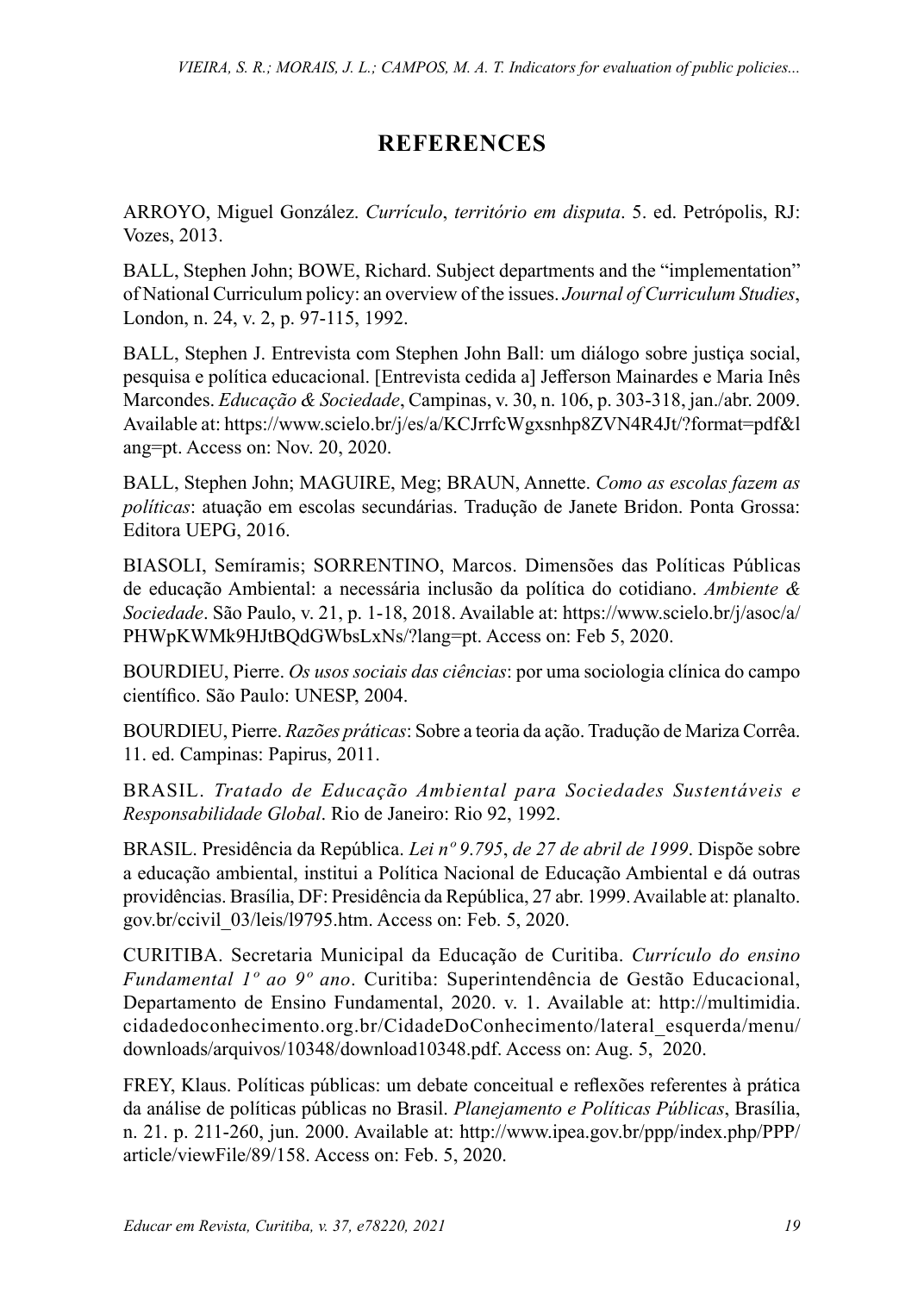# **REFERENCES**

ARROYO, Miguel González. *Currículo*, *território em disputa*. 5. ed. Petrópolis, RJ: Vozes, 2013.

BALL, Stephen John; BOWE, Richard. Subject departments and the "implementation" of National Curriculum policy: an overview of the issues. *Journal of Curriculum Studies*, London, n. 24, v. 2, p. 97-115, 1992.

BALL, Stephen J. Entrevista com Stephen John Ball: um diálogo sobre justiça social, pesquisa e política educacional. [Entrevista cedida a] Jefferson Mainardes e Maria Inês Marcondes. *Educação & Sociedade*, Campinas, v. 30, n. 106, p. 303-318, jan./abr. 2009. Available at: https://www.scielo.br/j/es/a/KCJrrfcWgxsnhp8ZVN4R4Jt/?format=pdf&l ang=pt. Access on: Nov. 20, 2020.

BALL, Stephen John; MAGUIRE, Meg; BRAUN, Annette. *Como as escolas fazem as políticas*: atuação em escolas secundárias. Tradução de Janete Bridon. Ponta Grossa: Editora UEPG, 2016.

BIASOLI, Semíramis; SORRENTINO, Marcos. Dimensões das Políticas Públicas de educação Ambiental: a necessária inclusão da política do cotidiano. *Ambiente & Sociedade*. São Paulo, v. 21, p. 1-18, 2018. Available at: [https://www.scielo.br/j/asoc/a/](https://www.scielo.br/j/asoc/a/PHWpKWMk9HJtBQdGWbsLxNs/?lang=pt) [PHWpKWMk9HJtBQdGWbsLxNs/?lang=pt.](https://www.scielo.br/j/asoc/a/PHWpKWMk9HJtBQdGWbsLxNs/?lang=pt) Access on: Feb 5, 2020.

BOURDIEU, Pierre. *Os usos sociais das ciências*: por uma sociologia clínica do campo científico. São Paulo: UNESP, 2004.

BOURDIEU, Pierre. *Razões práticas*: Sobre a teoria da ação. Tradução de Mariza Corrêa. 11. ed. Campinas: Papirus, 2011.

BRASIL. *Tratado de Educação Ambiental para Sociedades Sustentáveis e Responsabilidade Global*. Rio de Janeiro: Rio 92, 1992.

BRASIL. Presidência da República. *Lei nº 9*.*795*, *de 27 de abril de 1999*. Dispõe sobre a educação ambiental, institui a Política Nacional de Educação Ambiental e dá outras providências. Brasília, DF: Presidência da República, 27 abr. 1999. Available at: [planalto.](http://planalto.gov.br/ccivil_03/leis/l9795.htm) [gov.br/ccivil\\_03/leis/l9795.htm.](http://planalto.gov.br/ccivil_03/leis/l9795.htm) Access on: Feb. 5, 2020.

CURITIBA. Secretaria Municipal da Educação de Curitiba. *Currículo do ensino Fundamental 1º ao 9º ano*. Curitiba: Superintendência de Gestão Educacional, Departamento de Ensino Fundamental, 2020. v. 1. Available at: [http://multimidia.](http://multimidia.cidadedoconhecimento.org.br/CidadeDoConhecimento/lateral_esquerda/menu/downloads/arquivos/10348/download10348.pdf) [cidadedoconhecimento.org.br/CidadeDoConhecimento/lateral\\_esquerda/menu/](http://multimidia.cidadedoconhecimento.org.br/CidadeDoConhecimento/lateral_esquerda/menu/downloads/arquivos/10348/download10348.pdf) [downloads/arquivos/10348/download10348.pdf.](http://multimidia.cidadedoconhecimento.org.br/CidadeDoConhecimento/lateral_esquerda/menu/downloads/arquivos/10348/download10348.pdf) Access on: Aug. 5, 2020.

FREY, Klaus. Políticas públicas: um debate conceitual e reflexões referentes à prática da análise de políticas públicas no Brasil. *Planejamento e Políticas Públicas*, Brasília, n. 21. p. 211-260, jun. 2000. Available at: [http://www.ipea.gov.br/ppp/index.php/PPP/](http://www.ipea.gov.br/ppp/index.php/PPP/article/viewFile/89/158) [article/viewFile/89/158.](http://www.ipea.gov.br/ppp/index.php/PPP/article/viewFile/89/158) Access on: Feb. 5, 2020.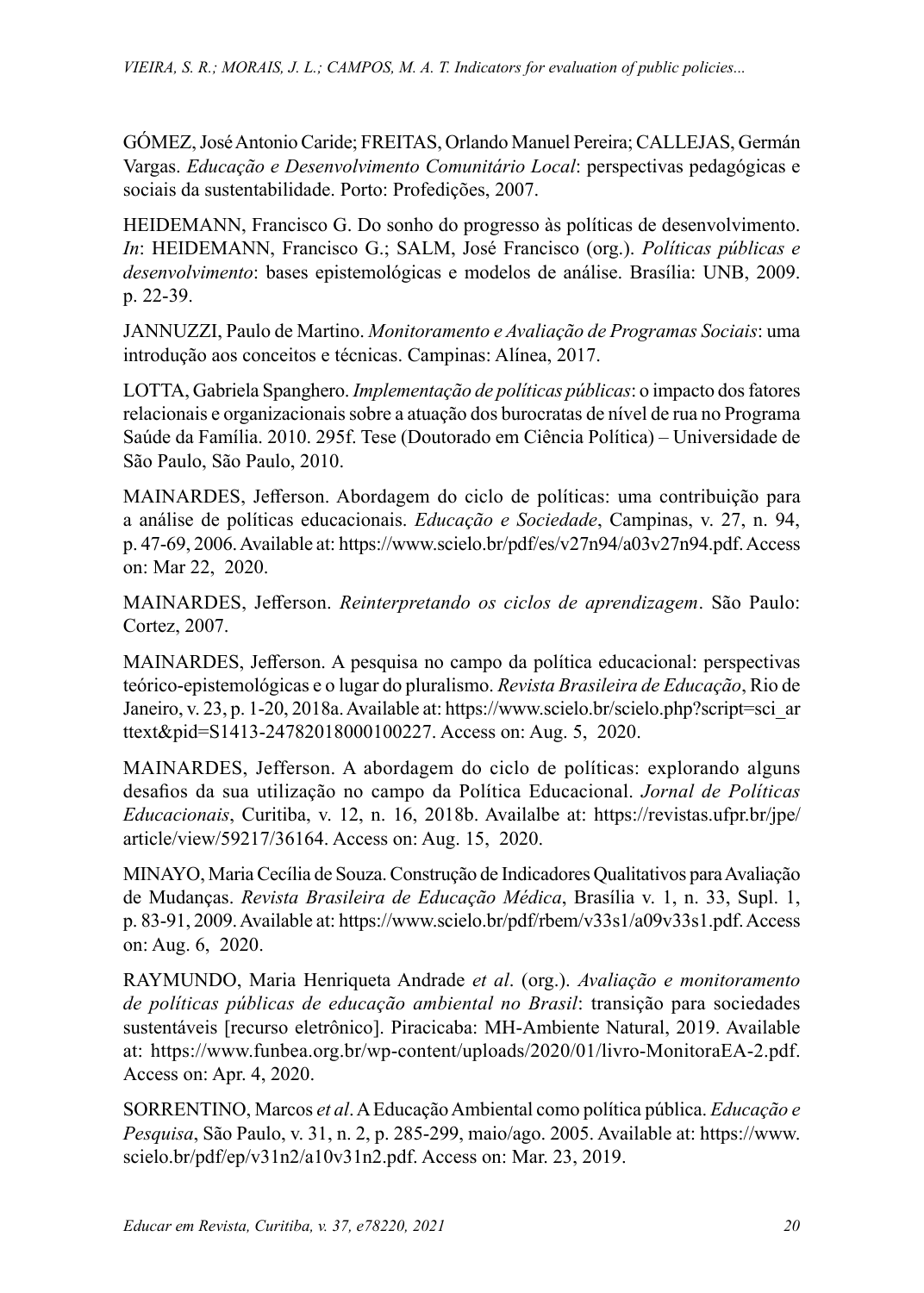GÓMEZ, José Antonio Caride; FREITAS, Orlando Manuel Pereira; CALLEJAS, Germán Vargas. *Educação e Desenvolvimento Comunitário Local*: perspectivas pedagógicas e sociais da sustentabilidade. Porto: Profedições, 2007.

HEIDEMANN, Francisco G. Do sonho do progresso às políticas de desenvolvimento. *In*: HEIDEMANN, Francisco G.; SALM, José Francisco (org.). *Políticas públicas e desenvolvimento*: bases epistemológicas e modelos de análise. Brasília: UNB, 2009. p. 22-39.

JANNUZZI, Paulo de Martino. *Monitoramento e Avaliação de Programas Sociais*: uma introdução aos conceitos e técnicas. Campinas: Alínea, 2017.

LOTTA, Gabriela Spanghero. *Implementação de políticas públicas*: o impacto dos fatores relacionais e organizacionais sobre a atuação dos burocratas de nível de rua no Programa Saúde da Família. 2010. 295f. Tese (Doutorado em Ciência Política) – Universidade de São Paulo, São Paulo, 2010.

MAINARDES, Jefferson. Abordagem do ciclo de políticas: uma contribuição para a análise de políticas educacionais. *Educação e Sociedade*, Campinas, v. 27, n. 94, p. 47-69, 2006. Available at:<https://www.scielo.br/pdf/es/v27n94/a03v27n94.pdf>. Access on: Mar 22, 2020.

MAINARDES, Jefferson. *Reinterpretando os ciclos de aprendizagem*. São Paulo: Cortez, 2007.

MAINARDES, Jefferson. A pesquisa no campo da política educacional: perspectivas teórico-epistemológicas e o lugar do pluralismo. *Revista Brasileira de Educação*, Rio de Janeiro, v. 23, p. 1-20, 2018a. Available at[: https://www.scielo.br/scielo.php?script=sci\\_ar]( https://www.scielo.br/scielo.php?script=sci_arttext&pid=S1413-24782018000100227) [ttext&pid=S1413-24782018000100227.]( https://www.scielo.br/scielo.php?script=sci_arttext&pid=S1413-24782018000100227) Access on: Aug. 5, 2020.

MAINARDES, Jefferson. A abordagem do ciclo de políticas: explorando alguns desafios da sua utilização no campo da Política Educacional. *Jornal de Políticas Educacionais*, Curitiba, v. 12, n. 16, 2018b. Availalbe at: https://revistas.ufpr.br/jpe/ article/view/59217/36164. Access on: Aug. 15, 2020.

MINAYO, Maria Cecília de Souza. Construção de Indicadores Qualitativos para Avaliação de Mudanças. *Revista Brasileira de Educação Médica*, Brasília v. 1, n. 33, Supl. 1, p. 83-91, 2009. Available at: https://www.scielo.br/pdf/rbem/v33s1/a09v33s1.pdf. Access on: Aug. 6, 2020.

RAYMUNDO, Maria Henriqueta Andrade *et al*. (org.). *Avaliação e monitoramento de políticas públicas de educação ambiental no Brasil*: transição para sociedades sustentáveis [recurso eletrônico]. Piracicaba: MH-Ambiente Natural, 2019. Available at: <https://www.funbea.org.br/wp-content/uploads/2020/01/livro-MonitoraEA-2.pdf>. Access on: Apr. 4, 2020.

SORRENTINO, Marcos *et al*. A Educação Ambiental como política pública. *Educação e Pesquisa*, São Paulo, v. 31, n. 2, p. 285-299, maio/ago. 2005. Available at: [https://www.](https://www.scielo.br/pdf/ep/v31n2/a10v31n2.pdf) [scielo.br/pdf/ep/v31n2/a10v31n2.pdf](https://www.scielo.br/pdf/ep/v31n2/a10v31n2.pdf). Access on: Mar. 23, 2019.